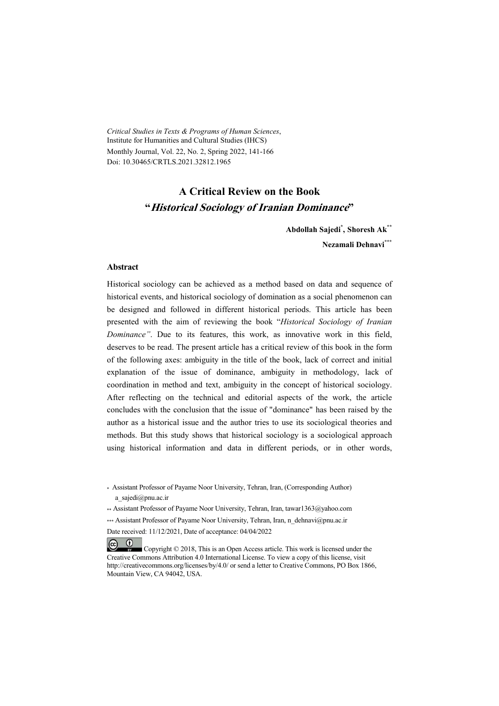*Critical Studies in Texts & Programs of Human Sciences*, Institute for Humanities and Cultural Studies (IHCS) Monthly Journal, Vol. 22, No. 2, Spring 2022, 141-166 Doi: 10.30465/CRTLS.2021.32812.1965

## **A Critical Review on the Book "Historical Sociology of Iranian Dominance"**

**Abdollah Sajedi\* , Shoresh Ak\*\* Nezamali Dehnavi\*\*\***

#### **Abstract**

 $(1)$ 

Historical sociology can be achieved as a method based on data and sequence of historical events, and historical sociology of domination as a social phenomenon can be designed and followed in different historical periods. This article has been presented with the aim of reviewing the book "*Historical Sociology of Iranian Dominance"*. Due to its features, this work, as innovative work in this field, deserves to be read. The present article has a critical review of this book in the form of the following axes: ambiguity in the title of the book, lack of correct and initial explanation of the issue of dominance, ambiguity in methodology, lack of coordination in method and text, ambiguity in the concept of historical sociology. After reflecting on the technical and editorial aspects of the work, the article concludes with the conclusion that the issue of "dominance" has been raised by the author as a historical issue and the author tries to use its sociological theories and methods. But this study shows that historical sociology is a sociological approach using historical information and data in different periods, or in other words,

<sup>\*</sup> Assistant Professor of Payame Noor University, Tehran, Iran, (Corresponding Author) a\_sajedi@pnu.ac.ir

<sup>\*\*</sup> Assistant Professor of Payame Noor University, Tehran, Iran, tawar1363@yahoo.com \*\*\* Assistant Professor of Payame Noor University, Tehran, Iran, n\_dehnavi@pnu.ac.ir Date received: 11/12/2021, Date of acceptance: 04/04/2022

 $(cc)$  Copyright © 2018, This is an Open Access article. This work is licensed under the Creative Commons Attribution 4.0 International License. To view a copy of this license, visit http://creativecommons.org/licenses/by/4.0/ or send a letter to Creative Commons, PO Box 1866, Mountain View, CA 94042, USA.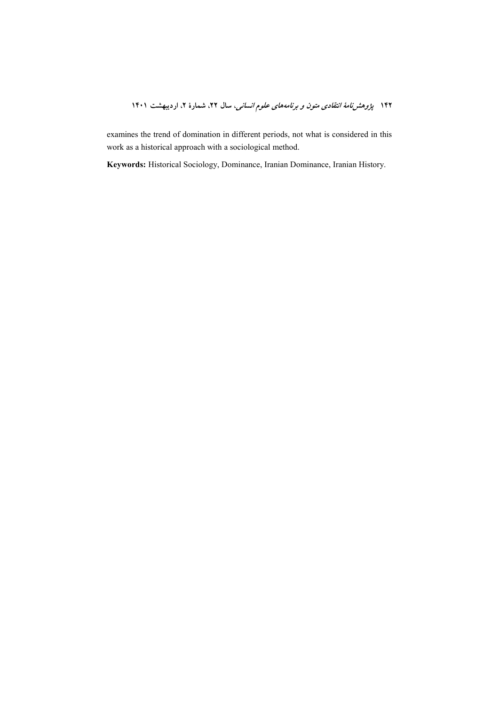examines the trend of domination in different periods, not what is considered in this work as a historical approach with a sociological method.

Keywords: Historical Sociology, Dominance, Iranian Dominance, Iranian History.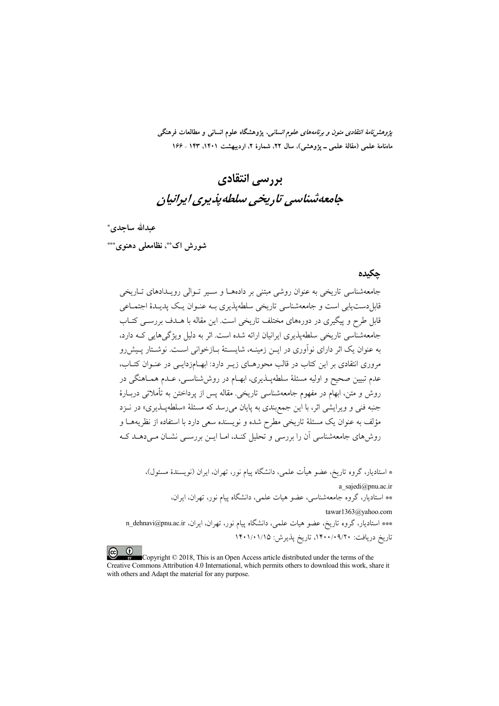*پژوهشنامهٔ انتقادی متون و برنامههای علوم انسانی،* پژوهشگاه علوم انسانی و مطالعات فرهنگی ماهنامهٔ علمی (مقالهٔ علمی ــ پژوهشی)، سال ۲۲، شمارهٔ ۲، اردیبهشت ۱۴۰۱، ۱۴۳ ـ ۱۶۶

# بررسي انتقادي جامعەشناسى تارىخى سلطەيذىرى ايرانيان

عبدالله ساحدي \*

شورش اک\*\*، نظامعلی دهنوی\*\*\*

#### حكىدە

جامعهشناسی تاریخی به عنوان روشی مبتنی بر دادههـا و سـیر تـوالی رویـدادهای تــاریخی قابل(دست،یابی است و جامعهشناسی تاریخی سلطهپذیری بـه عنـوان یـک پدیـدهٔ اجتمـاعی قابل طرح و پیگیری در دورههای مختلف تاریخی است. این مقاله با هــدف بررســی کتــاب جامعهشناسی تاریخی سلطهپذیری ایرانیان ارائه شده است. اثر به دلیل ویژگی هایی کـه دارد، به عنوان یک اثر دارای نوآوری در ایــن زمینــه، شایســتهٔ بــازخوانی اســت. نوشــتار پــیش(و مروری انتقادی بر این کتاب در قالب محورهـای زیـر دارد: ابهـامزدایـی در عنـوان کتـاب، عدم تبیین صحیح و اولیه مسئلهٔ سلطهپــذیری، ابهــام در روششناســی، عــدم همــاهنگی در روش و متن، ابهام در مفهوم جامعهشناسی تاریخی. مقاله پس از پرداختن به تأملاتی دربـارهٔ جنبه فني و ويرايشي اثر، با اين جمع بندي به پايان مي رسد كه مسئلهٔ «سلطهپـذيري» در نــزد مؤلف به عنوان یک مسئلهٔ تاریخی مطرح شده و نویسنده سعی دارد با استفاده از نظریههـا و روشهای جامعهشناسی آن را بررسی و تحلیل کنـد، امـا ایــن بررســی نشــان مــی دهــد کــه

\* استادیار، گروه تاریخ، عضو هیأت علمی، دانشگاه ییام نور، تهران، ایران (نویسندهٔ مسئول)، a sajedi@pnu.ac.ir \*\* استادیار، گروه جامعهشناسی، عضو هیات علمی، دانشگاه پیام نور، تهران، ایران، tawar1363@yahoo.com \*\*\* استادیار، گروه تاریخ، عضو هیات علمی، دانشگاه پیام نور، تهران، ایران، n\_dehnavi@pnu.ac.ir تاريخ دريافت: ٩/٢٠٠/٠٩/٢٠ تاريخ يذيرش: ١۴٠١/٠١/١٥

Copyright  $\odot$  2018, This is an Open Access article distributed under the terms of the Creative Commons Attribution 4.0 International, which permits others to download this work, share it with others and Adapt the material for any purpose.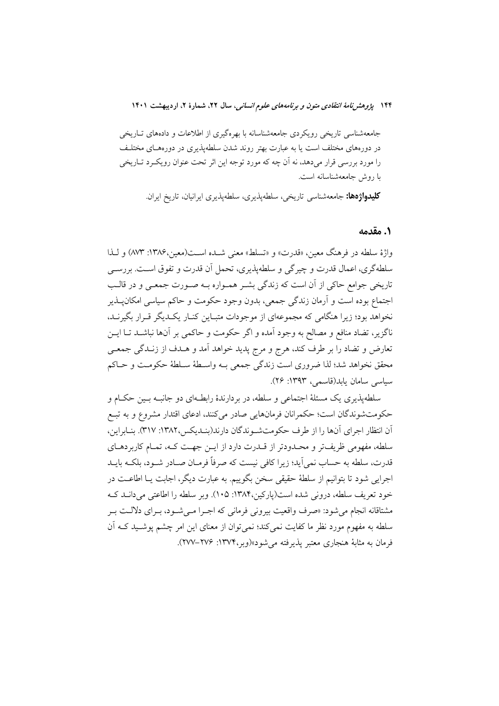جامعهشناسی تاریخی رویکردی جامعهشناسانه با بهرهگیری از اطلاعات و دادههای تـاریخی در دورههای مختلف است یا به عبارت بهتر روند شدن سلطهپذیری در دورههـای مختلـف را مورد بررسی قرار میدهد، نه آن چه که مورد توجه این اثر تحت عنوان رویکـرد تـاریخی با روش جامعهشناسانه است.

**کلیدواژهها:** جامعهشناسی تاریخی، سلطهپذیری، سلطهپذیری ایرانیان، تاریخ ایران.

#### ٠. مقدمه

واژهٔ سلطه در فرهنگ معین، «قدرت» و «تسلط» معنی شـده اسـت(معین،۱۳۸۶: ۸۷۳) و لـذا سلطه گري، اعمال قدرت و چير گي و سلطهپذيري، تحمل آن قدرت و تفوق اسـت. بررســي تاریخی جوامع حاکی از آن است که زندگی بشـر همـواره بـه صـورت جمعـی و در قالـب اجتماع بوده است و آرمان زندگی جمعی، بدون وجود حکومت و حاکم سیاسی امکانپــذیر نخواهد بود؛ زیرا هنگامی که مجموعهای از موجودات متبـاین کنـار یکـدیگر قـرار بگیرنـد، ناگزیر، تضاد منافع و مصالح به وجود آمده و اگر حکومت و حاکمی بر آنها نباشــد تــا ایــن تعارض و تضاد را بر طرف کند، هرج و مرج پدید خواهد آمد و هــدف از زنــدگی جمعــی محقق نخواهد شد؛ لذا ضروري است زندگي جمعي بـه واسـطهٔ سـلطهٔ حکومـت و حـاکم سياسي سامان بايد(قاسمي) ١٣٩٣: ٢۶).

سلطهیذیری یک مسئلهٔ اجتماعی و سلطه، در بردارندهٔ رابطـهای دو جانبـه بـین حکـام و حکومتشوندگان است؛ حکمرانان فرمانهایی صادر میکنند، ادعای اقتدار مشروع و به تبـع آن انتظار اجراي آنها را از طرف حكومتشـوندگان دارند(بنـديكس،١٣٨٢: ٣١٧). بنـابراين، سلطه، مفهومي ظريفتر و محـدودتر از قــدرت دارد از ايــن جهــت كــه، تمــام كاربردهــاي قدرت، سلطه به حساب نمي آيد؛ زيرا كافي نيست كه صرفاً فرمــان صــادر شــود، بلكــه بايــد اجرایی شود تا بتوانیم از سلطهٔ حقیقی سخن بگوییم. به عبارت دیگر، اجابت یـا اطاعـت در خود تعريف سلطه، دروني شده است(ياركين،١٣٨۴: ١٠٥). وبر سلطه را اطاعتي مي دانـد كـه مشتاقانه انجام می شود: «صرف واقعیت بیرونی فرمانی که اجـرا مـی شـود، بـرای دلالـت بـر سلطه به مفهوم مورد نظر ما كفايت نمي كند؛ نمي توان از معناي اين امر چشم يوشـيد كــه أن فرمان به مثابهٔ هنجاری معتبر یذیرفته می شود»(وبر،۱۳۷۴: ۲۷۶–۲۷۷).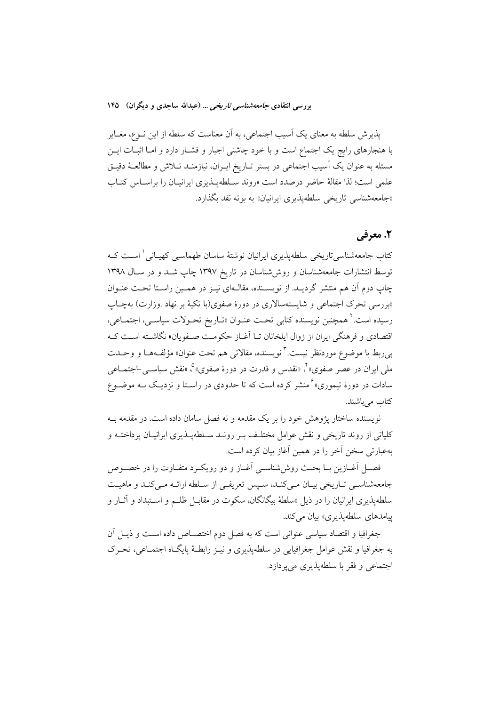پذیرش سلطه به معنای یک آسیب اجتماعی، به آن معناست که سلطه از این نــوع، مغــایر با هنجارهای رایج یک اجتماع است و با خود چاشنی اجبار و فشـار دارد و امـا اثبــات ایــن مسئله به عنوان یک آسیب اجتماعی در بستر تـاریخ ایـران، نیازمنــد تــلاش و مطالعــهٔ دقیــق علمی است؛ لذا مقالهٔ حاضر درصدد است «روند سـلطهپــذیری ایرانیــان را براســاس کتــاب «جامعهشناسی تاریخی سلطهپذیری ایرانیان» به بوته نقد بگذارد.

## 2. معرفی

کتاب جامعهشناسی تاریخی سلطهپذیری ایرانیان نوشتهٔ ساسان طهماسب<sub>ی</sub> کهپـانی <sup>۱</sup> اسـت کـه توسط انتشارات جامعهشناسان و روش شناسان در تاریخ ۱۳۹۷ چاپ شـد و در سـال ۱۳۹۸ چاپ دوم آن هم منتشر گردیـد. از نویســنده، مقالــهای نیــز در همــین راســتا تحــت عنــوان «بررسی تحرک اجتماعی و شایستهسالاری در دورهٔ صفوی(با تکیهٔ بر نهاد .وزارت) بهچاپ رسيده است.<sup>۲</sup> همچنين نويسنده كتابي تحت عنـوان «تــاريخ تحـولات سياســي، اجتمــاعي، اقتصادي و فرهنگي ايران از زوال ايلخانان تــا آغــاز حكومــت صــفويان» نگاشــته اســت كــه ب<sub>ی</sub>ربط با موضوع موردنظر نیست. ٌ نویسنده، مقالات<sub>ی</sub> هم تحت عنوان« مؤلفههـا و وحــدت ملي ايران در عصر صفوي» ٌ، «تقدس و قدرت در دورهٔ صفوي» ؓ، «نقش سیاســي-اجتمــاعـي سادات در دورهٔ تیموری»<sup>۶</sup> منشر کرده است که تا حدودی در راسـتا و نزدیـک بــه موضــوع كتاب مى باشند.

نویسنده ساختار پژوهش خود را بر یک مقدمه و نه فصل سامان داده است. در مقدمه بـه کلیاتی از روند تاریخی و نقش عوامل مختلـف بــر رونــد ســلطهپــذیری ایرانیــان پرداختــه و بهعبارتی سخن آخر را در همین آغاز بیان کرده است.

فصـل أغــازين بــا بحــث روش،شناســي أغــاز و دو رويكــرد متفــاوت را در خصــوص جامعهشناسبي تـاريخي بيـان مـي كنـد، سـيس تعريفـي از سـلطه ارائـه مـي كنـد و ماهيـت سلطهیذیری ایرانیان را در ذیل «سلطهٔ بیگانگان، سکوت در مقابـل ظلــم و اســتبداد و آثــار و پیامدهای سلطهپذیری» بیان می کند.

جغرافیا و اقتصاد سیاسی عنوانی است که به فصل دوم اختصـاص داده اسـت و ذیــل آن به جغرافیا و نقش عوامل جغرافیایی در سلطهیذیری و نیـز رابطـهٔ پایگـاه اجتمـاعی، تحـرک اجتماعي و فقر با سلطهيذيوي مي يودازد.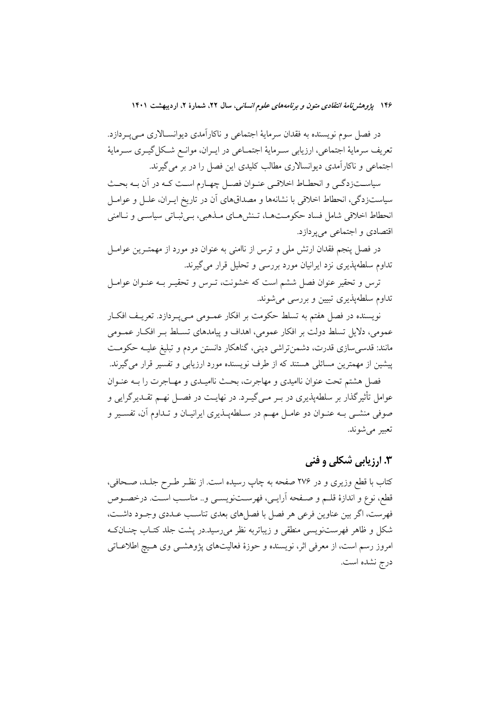در فصل سوم نویسنده به فقدان سرمایهٔ اجتماعی و ناکارآمدی دیوانسـالاری مـیپـردازد. تعريف سرماية اجتماعي، ارزيابي سـرماية اجتمـاعي در ايـران، موانـع شـكل گيـري سـرماية اجتماعی و ناکارآمدی دیوانسالاری مطالب کلیدی این فصل را در بر می گیرند.

سیاســتزدگــی و انحطــاط اخلاقــی عنــوان فصــل چهــارم اســت کــه در آن بــه بحــث سیاستزدگی، انحطاط اخلاقی با نشانهها و مصداقهای آن در تاریخ ایـران، علــل و عوامــل انحطاط اخلاقی شامل فساد حکومتها، تـنشهـای مـذهبی، بـی ثبـاتی سیاسـی و نـاامنی اقتصادي و اجتماعي مي يو دازد.

در فصل پنجم فقدان ارتش ملی و ترس از ناامنی به عنوان دو مورد از مهمتـرین عوامــل تداوم سلطهپذیری نزد ایرانیان مورد بررسی و تحلیل قرار می گیرند.

ترس و تحقیر عنوان فصل ششم است که خشونت، تـرس و تحقیـر بـه عنـوان عوامـل تداوم سلطهیذیری تبیین و بررسی می شوند.

نویسنده در فصل هفتم به تسلط حکومت بر افکار عمـومی مـی پـردازد. تعریـف افکـار عمومی، دلایل تسلط دولت بر افکار عمومی، اهداف و پیامدهای تسلط بـر افکـار عمـومی مانند: قدسی سازی قدرت، دشمن تراشی دینی، گناهکار دانستن مردم و تبلیغ علیـه حکومـت پیشین از مهمترین مسائلی هستند که از طرف نویسنده مورد ارزیابی و تفسیر قرار می گیرند. فصل هشتم تحت عنوان نااميدي و مهاجرت، بحث نااميـدي و مهـاجرت را بــه عنــوان عوامل تأثیرگذار بر سلطهپذیری در بـر مـی&یـرد. در نهایـت در فصـل نهـم تقــدیرگرایی و صوفی منشـّـی بـه عنــوان دو عامــل مهــم در ســلطهپــذیری ایرانیــان و تــداوم آن، تفســیر و تعبير مي شوند.

# **۳. ارزیابی شکلی و فنی**

کتاب با قطع وزیری و در ۲۷۶ صفحه به چاپ رسیده است. از نظـر طـرح جلـد، صـحافی، قطع، نوع و اندازهٔ قلـم و صـفحه آرایــی، فهرســتنویســی و.. مناســب اسـت. درخصــوص فهرست، اگر بین عناوین فرعی هر فصل با فصلهای بعدی تناسب عـددی وجـود داشـت، شکل و ظاهر فهرستنویسی منطقی و زیباتربه نظر میرسید.در پشت جلد کتـاب چنـانکـه امروز رسم است، از معرفی اثر، نویسنده و حوزهٔ فعالیتهای پژوهشــی وی هـیچ اطلاعــاتی درج نشده است.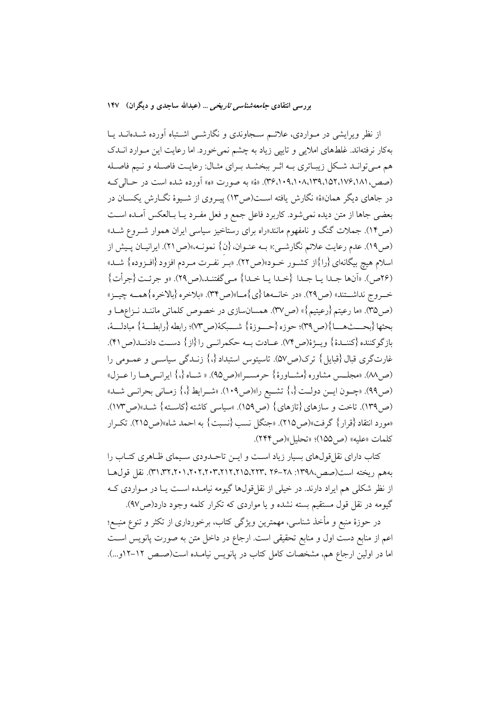از نظر ویرایشی در مـواردی، علائـم سـجاوندی و نگارشــی اشــتباه آورده شــدهانــد یــا بهکار نرفتهاند. غلطهای املایی و تاییی زیاد به چشم نمی خورد. اما رعایت این مـوارد انــدک هم مـیتوانـد شـكل زيبـاتري بـه اثـر ببخشـد بـراي مثـال: رعايـت فاصـله و نـيم فاصـله (صص،١٨١،١٧۶،١٥٢،١٩٨١،٩٣٩،١٠٩،١٠٩). «هَ» به صورت «ه» أورده شده است در حـالي كــه در جاهای دیگر همان«هٔ» نگارش یافته است(ص۱۳) پیـروی از شـیوهٔ نگـارش یکســان در بعضي جاها از متن ديده نمي شود. كاربرد فاعل جمع و فعل مفـرد يــا بــالعكس آمــده اســت (ص۱۴). جملات گنگ و نامفهوم مانند«راه برای رستاخیز سیاسی ایران هموار شـروع شــد» (ص١٩). عدم رعايت علائم نگارشـي:« بــه عنــوان، {ن} نمونــه،»(ص٢١). ايرانيــان پــيش از اسلام هيچ بيگانهاي {را}از كشـور خـود»(ص٢٢). «بـر نفـرت مـردم افزود {افـزوده} شــد» (٢۶ص). «أنها جبدا يبا جبدا {خبدا يبا خبدا} منى گفتنيد،(ص٢٩). «و جرئت {جرأت} خسروج نداشستند» (ص٢٩). «در خانسهها {ي} مسا»(ص٣٣). «بلاخره {بالاخره}همسه چيــز» (ص40). «ما رعيتم {رعيتيم}» (ص٣٧). همسانسازي در خصوص كلماتي ماننـد نـزاعهـا و بِحِتْهَا {بِحِـــتْهِـــا}(ص ٣٩)؛ حوزه {حـــوزة} شـــبكة(ص ٧٣)؛ رابطه {رابطـــة} مبادلـــة، بازگوكننده {كننـدة} ويــژة(ص٣). عــادت بــه حكمرانــي را {از} دســت دادنــد(ص١٢). غارتگری قبال {قبایل} ترک(ص۵۷). تاسیتوس استبداد {،} زنــدگی سیاســی و عمــومی را (ص ٨٨). «مجلس مشاوره {مشــاورة} حرمســرا»(ص ٩٥). « شــاه {،} ايرانسي هــا را عــزل» (ص49). «چـون ايــن دولــت {،} تشــيع را»(ص1٠٩). «شــرايط {،} زمــاني بحرانــي شــد» (ص١٣٩). تاخت و سازهاي {تازهاي} (ص١٥٩). »سياسي كاشته {كاسـته} شــد»(ص١٧٣). «مورد انتقاد {قرار} گرفت»(ص10). «جنگل نسب {نسبت} به احمد شاه»(ص110). تكـرار كلمات «عليه» (ص200)؛ «تحليل»(ص3٢۴).

کتاب دارای نقل قولهای بسیار زیاد است و ایــن تاحــدودی ســیمای ظـاهری کتــاب را بههم ريخته است(صص،١٣٩٨: ٢٨–٢۶ ،٢٢٢،٢١٢،٢١٢،٣٠٢،٢٠٢،٢١،٢١،٢٢،٣). نقل قول هــا از نظر شکلی هم ایراد دارند. در خیلی از نقل قولها گیومه نیامـده اسـت یـا در مـواردی کـه گیومه در نقل قول مستقیم بسته نشده و یا مواردی که تکرار کلمه وجود دارد(ص۹۷).

در حوزهٔ منبع و مأخذ شناسی، مهمترین ویژگی کتاب، برخورداری از تکثر و تنوع منبـع؛ اعم از منابع دست اول و منابع تحقیقی است. ارجاع در داخل متن به صورت پانویس اسـت اما در اولین ارجاع هم، مشخصات کامل کتاب در پانویس نیامـده است(صـص ١٢–١٢و…).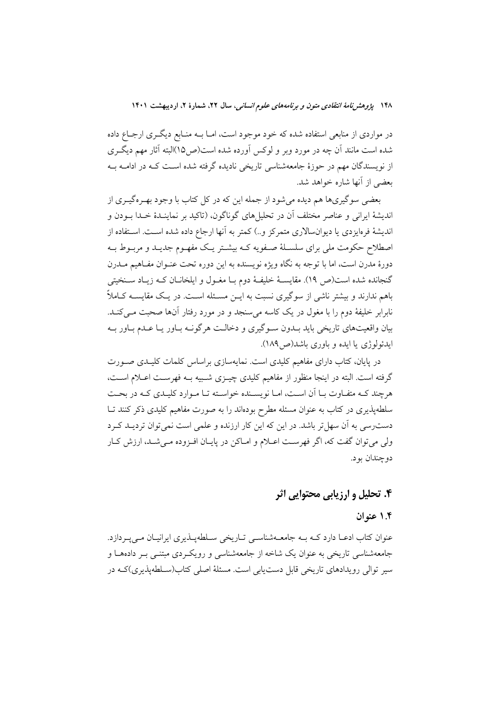در مواردی از منابعی استفاده شده که خود موجود است، امـا بــه منــابع دیگــری ارجــاع داده شده است مانند آن چه در مورد وبر و لوکس آورده شده است(ص۱۵)البته آثار مهم دیگری از نویسندگان مهم در حوزهٔ جامعهشناسی تاریخی نادیده گرفته شده اسـت کـه در ادامــه بــه بعضي از أنها شاره خواهد شد.

بعضي سوگيريها هم ديده مي شود از جمله اين كه در كل كتاب با وجود بهـرهگيـري از اندیشهٔ ایرانی و عناصر مختلف آن در تحلیلهای گوناگون، (تاکید بر نماینـدهٔ خـدا بــودن و اندیشهٔ فرهایزدی یا دیوان $\mathcal{V}$ ری متمرکز و…) کمتر به آنها ارجاع داده شده اســت. اســتفاده از اصطلاح حکومت ملی برای سلسـلهٔ صـفویه کـه بیشـتر یـک مفهـوم جدیـد و مربـوط بـه دورهٔ مدرن است، اما با توجه به نگاه ویژه نویسنده به این دوره تحت عنــوان مفــاهیم مــدرن گنجانده شده است(ص ١٩). مقايسـهٔ خليفـهٔ دوم بــا مغــول و ايلخانــان كــه زيــاد ســنخيتي باهم ندارند و بیشتر ناشی از سوگیری نسبت به ایــن مســئله اســت. در یـک مقایســه کــاملاً نابرابر خلیفهٔ دوم را با مغول در یک کاسه می سنجد و در مورد رفتار آنها صحبت مــی کنــد. بیان واقعیتهای تاریخی باید بــدون ســوگیری و دخالــت هرگونــه بــاور یــا عــدم بــاور بــه ايدئولوژي يا ايده و باوري باشد(ص١٨٩).

در پایان، کتاب دارای مفاهیم کلیدی است. نمایهسازی براساس کلمات کلیـدی صـورت گرفته است. البته در اینجا منظور از مفاهیم کلیدی چیــزی شــبیه بــه فهرســت اعــلام اســت، هرچند کـه متفـاوت بــا آن اسـت، امــا نویســنده خواسـته تــا مــوارد کليــدي کــه در بحــت سلطهپذیری در کتاب به عنوان مسئله مطرح بودهاند را به صورت مفاهیم کلیدی ذکر کنند تــا دست رسی به آن سهل تر باشد. در این که این کار ارزنده و علمی است نمی توان تردیـد کـرد ولی میتوان گفت که، اگر فهرست اعـلام و امـاکن در پایـان افـزوده مـیشـد، ارزش کـار دو چندان بو د.

# ۴. تحلیل و ارزیابی محتوایی اثر

#### ۱.۴ عنه ان

عنوان کتاب ادعـا دارد کـه بـه جامعـهشناسـی تـاریخی سـلطهیـذیری ایرانیـان مـی پـردازد. جامعهشناسی تاریخی به عنوان یک شاخه از جامعهشناسی و رویکردی مبتنـی بـر دادههـا و سیر توالی رویدادهای تاریخی قابل دست یابی است. مسئلهٔ اصلی کتاب(سـلطه یذیری)کــه در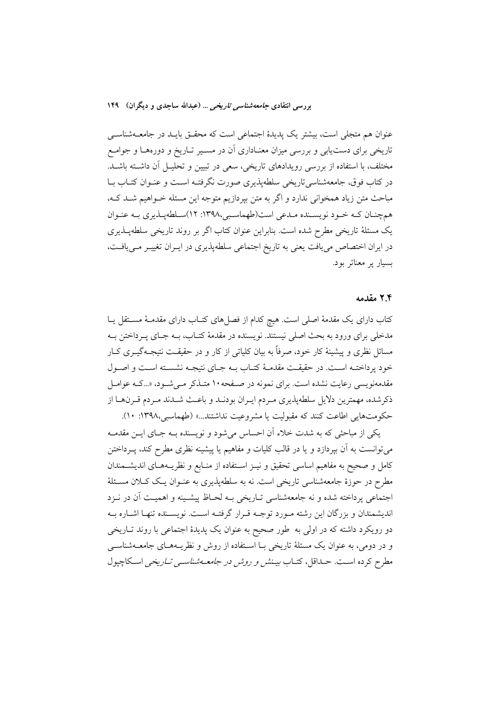عنوان هم متجلَّى است، بیشتر یک پدیدهٔ اجتماعی است که محقَّـق بایـد در جامعــهشناســی تاریخی برای دستیابی و بررسی میزان معنـاداری آن در مسـیر تـاریخ و دورههـا و جوامـع مختلف، با استفاده از بررسی رویدادهای تاریخی، سعی در تبیین و تحلیـل آن داشـته باشـد. در کتاب فوق، جامعهشناسی تاریخی سلطهیذیری صورت نگرفتـه اسـت و عنـوان کتـاب بـا مباحث متن زياد همخواني ندارد و اگر به متن بيردازيم متوجه اين مسئله خـواهيم شـد كـه، همچنان کـه خـود نویسـنده مـدعی است(طهماسـبی،١٣٩٨: ١٢)سـلطهپـذيري بـه عنـوان یک مسئلهٔ تاریخی مطرح شده است. بنابراین عنوان کتاب اگر بر روند تاریخی سلطهپـذیری در ایران اختصاص می یافت یعنی به تاریخ اجتماعی سلطهپذیری در ایـران تغییـر مـی یافـت، بسیار پر معناتر بود.

#### ۲.۴ مقدمه

کتاب دارای یک مقدمهٔ اصلی است. هیچ کدام از فصلهای کتـاب دارای مقدمـهٔ مسـتقل یـا مدخلي براي ورود به بحث اصلي نيستند. نويسنده در مقدمهٔ كتـاب، بــه جـاي پــرداختن بــه مسائل نظری و پیشینهٔ کار خود، صرفاً به بیان کلیاتی از کار و در حقیقـت نتیجـهگیــری کــار خود پرداختـه اسـت. در حقیقـت مقدمـهٔ کتـاب بـه جـای نتیجـه نشسـته اسـت و اصـول مقدمهنویسی رعایت نشده است. برای نمونه در صـفحه ۱۰ متـذکر مـی شـود، «...کـه عوامـل ذكرشده، مهمترين دلايل سلطهيذيري مـردم ايـران بودنــد و باعـث شــدند مـردم قـرنهــا از حکومتهایی اطاعت کنند که مقبولیت یا مشروعیت نداشتند...» (طهماسبی،۱۳۹۸: ۱۰).

یکی از مباحثی که به شدت خلاء آن احساس میشود و نویسنده بـه جـای ایـن مقدمـه میتوانست به آن بپردازد و یا در قالب کلیات و مفاهیم یا پیشینه نظری مطرح کند، پــرداختن كامل و صحیح به مفاهیم اساسی تحقیق و نیـز اسـتفاده از منـابع و نظریــههـای اندیشــمندان مطرح در حوزهٔ جامعهشناسی تاریخی است. نه به سلطهپذیری به عنـوان یـک کــلان مسـئلهٔ اجتماعي يرداخته شده و نه جامعهشناسي تـاريخي بـه لحـاظ پيشـينه و اهميـت آن در نـزد اندیشمندان و بزرگان این رشته مـورد توجـه قـرار گرفتـه اسـت. نویسـنده تنهـا اشـاره بـه دو رویکرد داشته که در اول<sub>ی</sub> به طور صحیح به عنوان یک پدیدهٔ اجتماعی با روند تـاریخی و در دومی، به عنوان یک مسئلهٔ تاریخی بـا اسـتفاده از روش و نظریــههـای جامعــهشناســی مطرح کرده است. حـداقل، کتـاب *بیـنش و روش در جامعــهشناســی تــاریخی* اســکاچیول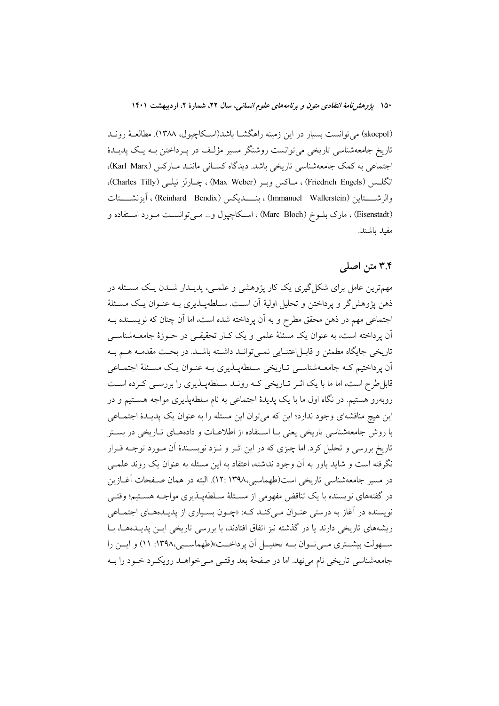۱۵۰ پژوهشرنامهٔ *انتقادی متون و برنامههای علوم انسانی*، سال ۲۲، شمارهٔ ۲، اردیبهشت ۱۴۰۱

(skocpol) می توانست بسیار در این زمینه راهگشـا باشد(اسـكاچپول، ۱۳۸۸). مطالعـهٔ رونـد تاریخ جامعهشناسی تاریخی می توانست روشنگر مسیر مؤلف در پـرداختن بـه پـک پدیـدهٔ اجتماعی به کمک جامعهشناسی تاریخی باشد. دیدگاه کسـانی ماننــد مــارکس (Karl Marx)، انگلــس (Friedrich Engels) ، مــاكس وبــر (Max Weber) ، چــارلز تيلــي (Charles Tilly). والرشـــــتاين (Immanuel Wallerstein) ، بنـــــــديكس (Reinhard Bendix) ، آيزنشـــــتات (Eisenstadt) ، مارک بلــوخ (Marc Bloch) ، اســکاچپول و… مــیتوانســت مــورد اســتفاده و مفيد باشند.

### ۳.۴ متن اصلی

مهمترین عامل برای شکل گیری یک کار پژوهشی و علمـی، پدیــدار شــدن یـک مســئله در ذهن پژوهشگر و پرداختن و تحلیل اولیهٔ آن اسـت. سـلطهپــذیری بــه عنــوان یــک مســئلهٔ اجتماعی مهم در ذهن محقق مطرح و به آن پرداخته شده است، اما آن چنان که نویســنده بــه آن پرداخته است، به عنوان یک مسئلهٔ علمی و یک کـار تحقیقـی در حــوزهٔ جامعــهشناســی تاریخی جایگاه مطمئن و قابـل|عتنـایی نمـیتوانـد داشـته باشـد. در بحـث مقدمـه هــم بـه ان پرداختیم کـه جامعــهشناســي تــاریخي ســلطهپــذیري بــه عنــوان یـک مســئلهٔ اجتمــاعی قابل طرح است، اما ما با یک اثـر تـاریخی کـه رونـد سـلطهپـذیری را بررسـی کـرده اسـت روبهرو هستیم. در نگاه اول ما با یک پدیدهٔ اجتماعی به نام سلطهپذیری مواجه هسـتیم و در این هیچ مناقشهای وجود ندارد؛ این که میتوان این مسئله را به عنوان یک پدیـدهٔ اجتمـاعی با روش جامعهشناسی تاریخی یعنی بـا اسـتفاده از اطلاعـات و دادههـای تـاریخی در بسـتر تاریخ بررسی و تحلیل کرد. اما چیزی که در این اثـر و نـزد نویســندهٔ اَن مـورد توجــه قــرار نگرفته است و شاید باور به آن وجود نداشته، اعتقاد به این مسئله به عنوان یک روند علمـی در مسیر جامعهشناسی تاریخی است(طهماسبی،۱۳۹۸: ۱۲: ). البته در همان صـفحات آغــازین در گفتههای نویسنده با یک تناقض مفهومی از مسـئلهٔ سـلطهیـذیری مواجـه هسـتیم؛ وقتـی نویسنده در آغاز به درستی عنـوان مـی کنـد کـه: «چـون بسـیاری از پدیـدههـای اجتمـاعی ریشههای تاریخی دارند یا در گذشته نیز اتفاق افتادند، با بررسی تاریخی ایــن پدیــدهــا، بــا سهولت بیشتری می توان بــه تحلیــل آن پرداخــت»(طهماســبی،۱۳۹۸: ۱۱) و ایــن را جامعهشناسي تاريخي نام مي نهد. اما در صفحهٔ بعد وقتـي مـي خواهــد رويكــرد خــود را بــه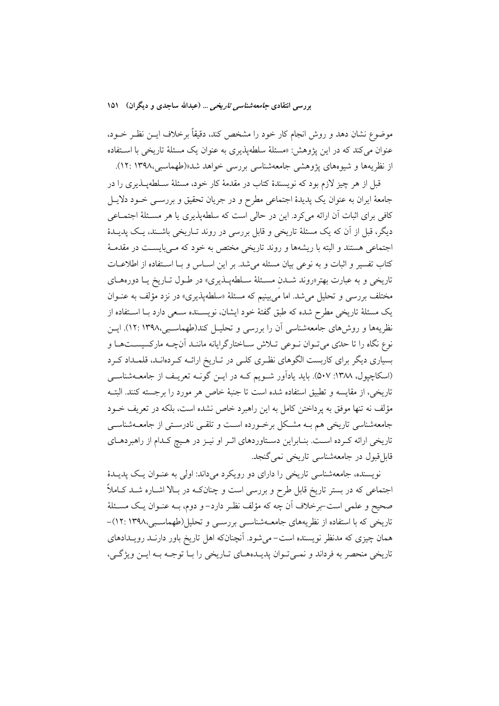بررسی انتقادی *جامعه شناسی تاریخی* … (عبدالله ساجدی و دیگران) ۱۵۱

موضوع نشان دهد و روش انجام کار خود را مشخص کند، دقیقاً برخلاف ایــن نظـر خــود، عنوان می کند که در این یژوهش: «مسئلهٔ سلطهیذیری به عنوان یک مسئلهٔ تاریخی با استفاده از نظریهها و شیوههای پژوهشی جامعهشناسی بررسی خواهد شد«(طهماسبی،۱۳۹۸: ۱۲:

قبل از هر چیز لازم بود که نویسندهٔ کتاب در مقدمهٔ کار خود، مسئلهٔ سـلطهیــذیری را در جامعهٔ ایران به عنوان یک پدیدهٔ اجتماعی مطرح و در جریان تحقیق و بررســی خــود دلایــل کافی برای اثبات آن ارائه میکرد. این در حالی است که سلطهپذیری یا هر مسئلهٔ اجتمـاعی دیگر، قبل از آن که یک مسئلهٔ تاریخی و قابل بررسی در روند تــاریخی باشــند، یـک یدیــدهٔ اجتماعی هستند و البته با ریشهها و روند تاریخی مختص به خود که مـیبایسـت در مقدمـهٔ كتاب تفسير و اثبات و به نوعي بيان مسئله مي شد. بر اين اسـاس و بـا اسـتفاده از اطلاعـات تاریخی و به عبارت بهتر«روند شـدن مسـئلهٔ سـلطهپـذیری» در طـول تـاریخ یـا دورههـای مختلف بررسی و تحلیل می شد. اما میبینیم که مسئلهٔ «سلطهپذیری» در نزد مؤلف به عنوان یک مسئلهٔ تاریخی مطرح شده که طبق گفتهٔ خود ایشان، نویسـنده سـعی دارد بـا اسـتفاده از نظریهها و روش های جامعهشناسی آن را بررسی و تحلیـل کند(طهماسـبی،۱۳۹۸: ۱۲). ایــن نوع نگاه را تا حدّی می تـوان نـوعی تـلاش سـاختارگرایانه ماننـد اَنچـه مارکسیسـتهـا و بسیاری دیگر برای کاربست الگوهای نظری کلمی در تـاریخ ارائـه کـردهانـد، قلمـداد کـرد (اسکاچپول، ۱۳۸۸: ۵۰۷). باید یادآور شـویم کـه در ایـن گونـه تعریـف از جامعــهشناســی تاريخي، از مقايسه و تطبيق استفاده شده است تا جنبهٔ خاص هر مورد را برجسته كنند. البتـه مؤلف نه تنها موفق به پرداختن كامل به اين راهبرد خاص نشده است، بلكه در تعريف خــود جامعهشناسی تاریخی هم بـه مشكل برخـورده اسـت و تلقـی نادرسـتی از جامعــهشناسـی تاریخی ارائه کـرده اسـت. بنـابراین دسـتاوردهای اثـر او نیـز در هـیچ کـدام از راهبردهـای قابلقبول در جامعهشناسی تاریخی نم*ی گ*نجد.

نویسنده، جامعهشناسی تاریخی را دارای دو رویکرد میداند: اولی به عنوان یک پدیـدهٔ اجتماعی که در بستر تاریخ قابل طرح و بررسی است و چنانکـه در بـالا اشـاره شـد کـاملاً صحیح و علمی است-برخلاف آن چه که مؤلف نظـر دارد– و دوم، بــه عنــوان یــک مســئلهٔ تاریخی که با استفاده از نظریههای جامعــهشناســی بررســی و تحلیل(طهماسـبی،١٣٩٨ :١٢)-همان چیزی که مدنظر نویسنده است–می شود. اَنچنانکه اهل تاریخ باور دارنـد رویـدادهای تاريخي منحصر به فرداند و نمـي تـوان پديـدههــاي تــاريخي را بــا توجــه بــه ايــن ويژگــي،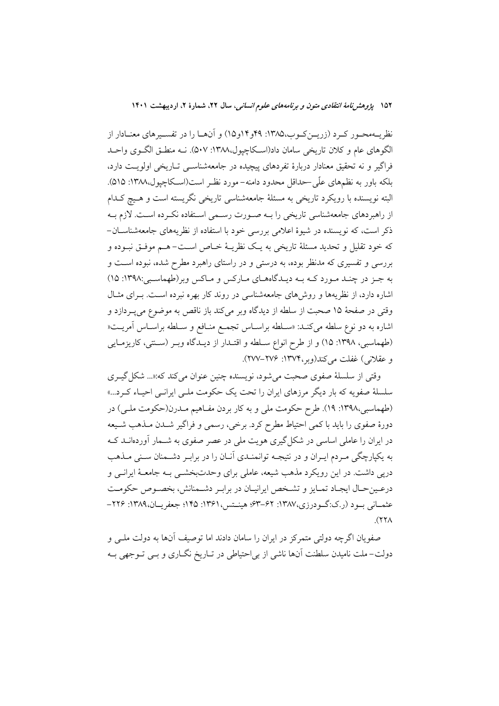نظریــهمحــور کــرد (زریـــنکــوب،۱۳۸۵: ۴۹و۱۴و۱۵) و آنهــا را در تفســیرهای معنــادار از الگوهای عام و کلان تاریخی سامان داد(اسکاچیول،۱۳۸۸: ۵۰۷). نــه منطــق الگــوی واحــد فراگیر و نه تحقیق معنادار دربارهٔ تفردهای پیچیده در جامعهشناسـی تـاریخی اولویـت دارد، بلکه باور به نظمهای علّی حداقل محدود دامنه-مورد نظـر است(اسـکاچیول،۱۳۸۸: ۵۱۵). البته نویسنده با رویکرد تاریخی به مسئلهٔ جامعهشناسی تاریخی نگریسته است و هـیچ کـدام از راهبردهای جامعهشناسی تاریخی را بـه صـورت رسـمی اسـتفاده نکـرده اسـت. لازم بـه ذکر است، که نویسنده در شیوهٔ اعلامی بررسی خود با استفاده از نظریههای جامعهشناسان-که خود تقلیل و تحدید مسئلهٔ تاریخی به یـک نظریـهٔ خـاص اسـت- هـم موفـق نبـوده و بررسی و تفسیری که مدنظر بوده، به درستی و در راستای راهبرد مطرح شده، نبوده است و به جـز در چنـد مـورد کـه بـه ديـدگاههـاي مـارکس و مـاکس وير(طهماسـبي:١٣٩٨: ١٥) اشاره دارد، از نظریهها و روشهای جامعهشناسی در روند کار بهره نبرده است. بـرای مثـال وقتي در صفحهٔ ۱۵ صحبت از سلطه از ديدگاه وير مي كند باز ناقص به موضوع مي پــردازد و اشاره به دو نوع سلطه مى كنـد: «سـلطه براسـاس تجمـع منـافع و سـلطه براسـاس آمريـت« (طهماسبی، ۱۳۹۸: ۱۵) و از طرح انواع سـلطه و اقتـدار از دیـدگاه وبـر (سـتتی، کاریزمـایی و عقلاني) غفلت مي كند(وبر،١٣٧٤: ٢٧٤–٢٧٧).

وقتي از سلسلة صفوي صحبت مي شود، نويسنده چنين عنوان مي كند كه:«... شكل گيـري سلسلهٔ صفویه که بار دیگر مرزهای ایران را تحت یک حکومت ملـی ایرانـی احیـاء کـرد...» (طهماسبی،۱۳۹۸: ۱۹). طرح حکومت ملی و به کار بردن مفـاهیم مـدرن(حکومت ملـی) در دورهٔ صفوی را باید با کمی احتیاط مطرح کرد. برخی، رسمی و فراگیر شـدن مـذهب شـیعه در ایران را عاملی اساسی در شکل گیری هویت ملی در عصر صفوی به شـمار آوردهانــد کــه به یکپارچگی مـردم ایـران و در نتیجـه توانمنـدی آنـان را در برابـر دشـمنان سـنی مـذهب دریی داشت. در این رویکرد مذهب شیعه، عاملی برای وحدتبخشـی بـه جامعـهٔ ایرانـی و درعين حـال ايجـاد تمـايز و تشـخص ايرانيـان در برابـر دشـمنانش، بخصـوص حكومـت عثمــاني بــود (ر.ک:گــودرزي،١٣٨٧: ۶۲–۶۳؛ هينــتس،١٣۶١: ١٣٥؛ جعفريــان،١٣٨٩: ٢٢۶–  $(33)$ 

صفویان اگرچه دولتی متمرکز در ایران را سامان دادند اما توصیف آنها به دولت ملــی و دولت–ملت نامیدن سلطنت آنها ناشی از بی|حتیاطی در تــاریخ نگــاری و بــی تــوجهی بــه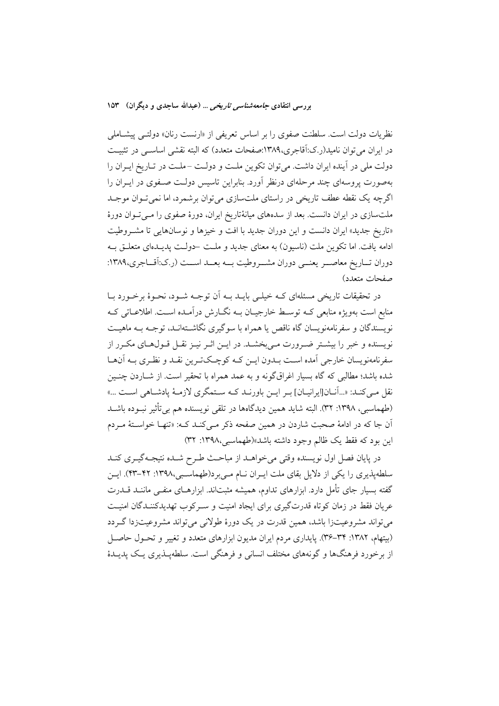بررسی انتقادی *جامعهشناسی تاریخی* … (عبدالله ساجدی و دیگران) ۱۵۳

نظریات دولت است. سلطنت صفوی را بر اساس تعریفی از «ارنست رنان» دولتـبی پیشـاملی در ایران می توان نامید(ر.ک:آقاجری،۱۳۸۹:صفحات متعدد) که البته نقشی اساســی در تثبیــت دولت ملي در آينده ايران داشت. مي توان تكوين ملت و دولت -ملت در تـاريخ ايـران را بهصورت پروسهای چند مرحلهای درنظر آورد. بنابراین تاسیس دولت صـفوی در ایــران را اگرچه یک نقطه عطف تاریخی در راستای ملتسازی میتوان برشمرد، اما نمیتوان موجـد ملتسازی در ایران دانست. بعد از سدههای میانهٔتاریخ ایران، دورهٔ صفوی را مـیتوان دورهٔ «تاريخ جديد» ايران دانست و اين دوران جديد با افت و خيزها و نوسانهايي تا مشـروطيت ادامه یافت. اما تکوین ملت (ناسیون) به معنای جدید و ملـت حولـت پدیـدمای متعلـق بـه دوران تــاريخ معاصــر يعنــي دوران مشــروطيت بــه بعــد اســت (ر.ک:آقــاجري،١٣٨٩: صفحات متعدد)

در تحقیقات تاریخی مسئلهای کـه خیلـی بایــد بــه اَن توجــه شــود، نحــوهٔ برخــورد بــا منابع است بهویژه منابعی کـه توسـط خارجیــان بــه نگــارش درآمــده اســت. اطلاعــاتی کــه نویسندگان و سفرنامهنویسان گاه ناقص یا همراه با سوگیری نگاشــتهانــد، توجــه بــه ماهیــت .<br>نویسنده و خبر را بیشــتر ضــرورت مــی,بخشــد. در ایــن اثــر نیــز نقــل قــول&ـای مکــرر از سفرنامهنويسان خارجي آمده است بلدون ايـن كـه كوچـكتـرين نقـد و نظـرى بـه آنهـا شده باشد؛ مطالبی که گاه بسیار اغراقگونه و به عمد همراه با تحقیر است. از شـاردن چنـین نقل مـي كنـد: «...أنــان[ايرانيــان] بـر ايــن باورنــد كــه ســتمگري لازمــهٔ يادشــاهي اســت ...» (طهماسبي، ١٣٩٨: ٣٢). البته شايد همين ديدگاهها در تلقى نويسنده هم بي تأثير نبـوده باشــد اّن جا که در ادامهٔ صحبت شاردن در همین صفحه ذکر مـی کنـد کـه: «تنهـا خواسـتهٔ مـردم این بود که فقط یک ظالم وجود داشته باشد»(طهماسبی،۱۳۹۸: ۳۲)

در پایان فصل اول نویسنده وقتی می خواهــد از مباحـث طـرح شــده نتیجــهگیــری کنــد سلطهپذیری را یکی از دلایل بقای ملت ایـران نــام مـیبرد(طهماسـبی،١٣٩٨: ۴۲–۴۳). ایـن گفته بسیار جای تأمل دارد. ابزارهای تداوم، همیشه مثبتاند. ابزارهـای منفـّـی مانـنـد قــدرت عریان فقط در زمان کوتاه قدرتگیری برای ایجاد امنیت و سـرکوب تهدیدکننـدگان امنیـت مي تواند مشروعيتزا باشد، همين قدرت در يک دورهٔ طولاني مي تواند مشروعيتزدا گـردد (بیتهام، ۱۳۸۲: ۳۴–۳۶). پایداری مردم ایران مدیون ابزارهای متعدد و تغییر و تحـول حاصـل از برخورد فرهنگها و گونههای مختلف انسانی و فرهنگی است. سلطهپــذیری پــک پدیــدهٔ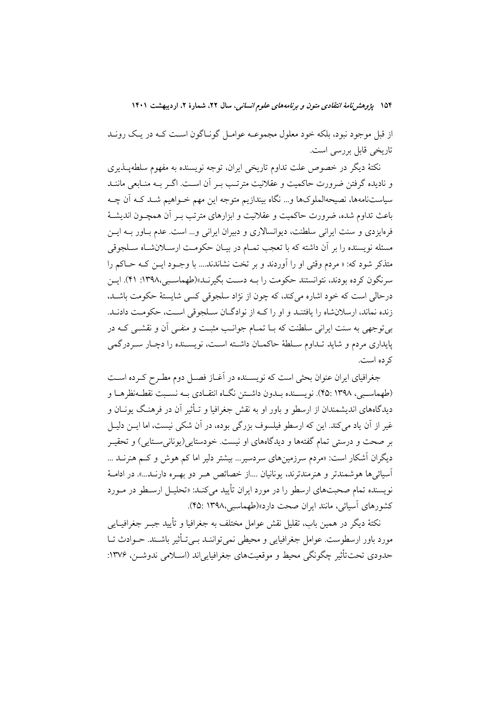۱۵۴ پژ*وهش نامهٔ انتقادی متون و برنامههای علوم انسانی،* سال ۲۲، شمارهٔ ۲، اردیبهشت ۱۴۰۱

از قبل موجود نبود، بلکه خود معلول مجموعــه عوامــل گونــاگون اســت کــه در يــک رونــد تاریخی قابل بررسی است.

نکتهٔ دیگر در خصوص علت تداوم تاریخی ایران، توجه نویسنده به مفهوم سلطهپـذیری و نادیده گرفتن ضرورت حاکمیت و عقلانیت مترتـب بـر آن اسـت. اگـر بـه منـابعی ماننــد سیاستنامهها، نصیحهالملوکها و… نگاه بیندازیم متوجه این مهم خـواهیم شـد کـه اَن چـه باعث تداوم شده، ضرورت حاکمیت و عقلانیت و ابزارهای مترتب بــر آن همچــون اندیشــهٔ فرمایزدی و سنت ایرانی سلطنت، دیوانسالاری و دبیران ایرانی و… است. عدم بـاور بــه ایــن مسئله نویسنده را بر آن داشته که با تعجب تمـام در بیـان حکومـت ارســلانشــاه ســلجوقی متذکر شود که: « مردم وقتی او را آوردند و بر تخت نشاندند.... با وجـود ایــن کــه حــاکم را سرنگون کرده بودند، نتوانستند حکومت را به دست بگیرنید»(طهماسیبی،۱۳۹۸: ۴۱). این درحالي است كه خود اشاره مي كند، كه چون از نژاد سلجوقي كسي شايستهٔ حكومت باشـد، زنده نماند، ارسلانشاه را یافتنـد و او را کـه از نوادگـان سـلجوقی اسـت، حکومـت دادنـد. بی توجهی به سنت ایرانی سلطنت که بـا تمـام جوانـب مثبـت و منفـی آن و نقشـی کـه در پایداری مردم و شاید تـداوم سـلطهٔ حاکمـان داشـته اسـت، نویسـنده را دچـار سـردرگمی کر ده است.

جغرافیای ایران عنوان بحثی است که نویسـنده در آغـاز فصـل دوم مطـرح کـرده اسـت (طهماسبی، ۱۳۹۸ :۴۵). نویســنده بــدون داشــتن نگــاه انتقــادی بــه نســبت نقطــهنظرهــا و دیدگاههای اندیشمندان از ارسطو و باور او به نقش جغرافیا و تـأثیر آن در فرهنـگ یونــان و غیر از اَن یاد میکند. این که ارسطو فیلسوف بزرگی بوده، در اَن شکی نیست، اما ایــن دلیــل بر صحت و درستی تمام گفتهها و دیدگاههای او نیست. خودستایی(یونانیستایی) و تحقیـر دیگران آشکار است: «مردم سرزمینهای سردسیر… بیشتر دلیر اما کم هوش و کـم هنرنــد … آسيائي ها هوشمندتر و هنرمندترند، يونانيان ....از خصائص هـر دو بهـره دارنـد...». در ادامـهٔ نویسنده تمام صحبتهای ارسطو را در مورد ایران تأیید می کنـد: «تحلیـل ارسـطو در مـورد کشورهای آسیائی، مانند ایران صحت دارد»(طهماسبی،۱۳۹۸ :۴۵).

نكتهٔ ديگر در همين باب، تقليل نقش عوامل مختلف به جغرافيا و تأييد جبـر جغرافيــايي مورد باور ارسطوست. عوامل جغرافیایی و محیطی نمی تواننـد بــی تـأثیر باشـند. حــوادث تــا حدودي تحت تأثير چڱونگي محيط و موقعيتهاي جغرافيايي اند (اســلامي ندوشــز، ۱۳۷۶: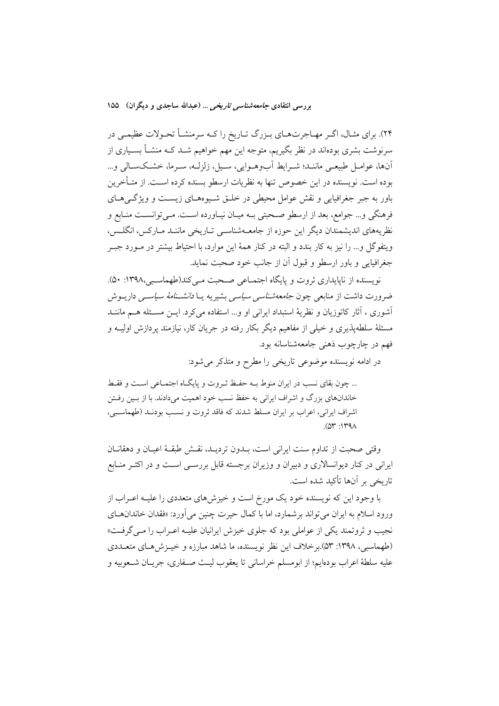بررسی انتقادی *جامعه شناسی تاریخی* … (عبدالله ساجدی و دیگران) ۱۵۵

۲۴). برای مثـال، اگـر مهـاجرتهـای بـزرگ تـاريخ را كـه سرمنشـأ تحـولات عظيمـي در سرنوشت بشری بودهاند در نظر بگیریم، متوجه این مهم خواهیم شــد کــه منشــأ بســیاری از آنها، عوامـل طبيعـي ماننـد؛ شـرايط أبوهـوايي، سـيل، زلزلـه، سـرما، خشـكسـالي و... بوده است. نویسنده در این خصوص تنها به نظریات ارسطو بسنده کرده اسـت. از متـأخرین باور به جبر جغرافیایی و نقش عوامل محیطی در خلــق شــیوههــای زیســت و ویژگــیهــای فرهنگی و… جوامع، بعد از ارسطو صحبتی بـه میـان نیـاورده اسـت. مـیتوانسـت منـابع و نظریههای اندیشمندان دیگر این حوزه از جامعـهشناسـی تـاریخی ماننـد مـارکس، انگلـس، ويتفوگل و… را نيز به كار بندد و البته در كنار همهٔ اين موارد، با احتياط بيشتر در مــورد جبــر جغرافيايي و باور ارسطو و قبول أن از جانب خود صحبت نمايد.

نویسنده از ناپایداری ثروت و پایگاه اجتمـاعی صـحت مـی کند(طهماسـبی،۱۳۹۸: ۵۰). ضرورت داشت از منابعی چون *جامعهشناسی سیاسی* بشیریه یـا *دانشــنامهٔ سیاســی* داریــوش أشوري ، أثار كاتوزيان و نظريهٔ استبداد ايراني او و... استفاده مي كرد. ايــن مسـئله هــم ماننــد مسئلهٔ سلطهپذیری و خیلی از مفاهیم دیگر بکار رفته در جریان کار، نیازمند یردازش اولیــه و فهم در چارچوب ذهنی جامعهشناسانه بود.

در ادامه نویسنده موضوعی تاریخی را مطرح و متذکر می شود:

... چون بقای نسب در ایران منوط بـه حفـظ ثـروت و پایگـاه اجتمـاعی اسـت و فقـط خاندانهای بزرگ و اشراف ایرانی به حفظ نسب خود اهمیت میدادند. با از بــین رفــتن اشراف ایرانی، اعراب بر ایران مسلط شدند که فاقد ثروت و نسب بودنـد (طهماسـبی،  $(0r \cdot 1r9)$ 

وقتی صحبت از تداوم سنت ایرانی است، بـدون تردیـد، نقـش طبقـهٔ اعیـان و دهقانـان ایرانی در کنار دیوانسالاری و دبیران و وزیران برجسته قابل بررســی اســت و در اکثــر منــابع تاریخی بر آنها تأکید شده است.

با وجود این که نویسنده خود یک مورخ است و خیزشهای متعددی را علیـه اعــراب از ورود اسلام به ایران میتواند برشمارد، اما با کمال حیرت چنین میآورد: «فقدان خاندان هـای نجیب و ثروتمند یکی از عواملی بود که جلوی خیزش ایرانیان علیـه اعـراب را مـی گرفـت» (طهماسبی، ۱۳۹۸: ۵۳).برخلاف این نظر نویسنده، ما شاهد مبارزه و خیبزش هـای متعــددی عليه سلطهٔ اعراب بودهايم؛ از ابومسلم خراساني تا يعقوب ليـث صـفاري، جريــان شــعوبيه و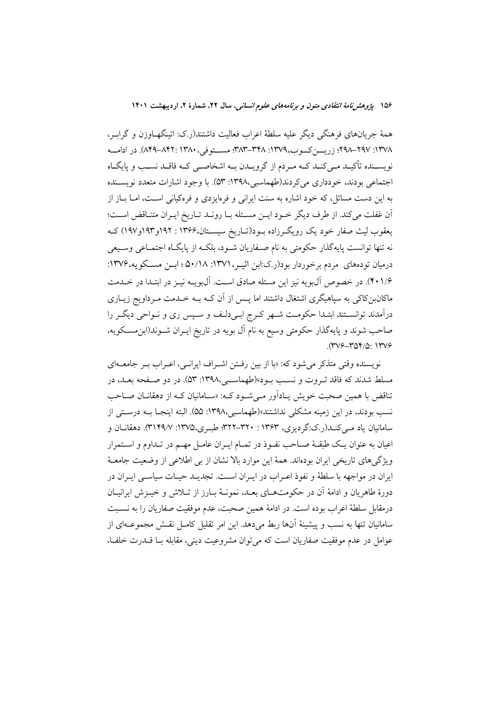همهٔ جریانهای فرهنگی دیگر علیه سلطهٔ اعراب فعالیت داشتند(ر.ک: اتینگهـاوزن و گرابـر، ١٣٧٨: ٢٩٧–٢٩٨؛ زريسن كسوب،١٣٧٩: ٣٨٨–٣٨٣؛ مسستوفى، ٨٣٨٠-٢٩٩). در ادامسه نویســنده تأکیــد مــيکنــد کــه مــردم از گرویــدن بــه اشخاصــي کــه فاقــد نســب و پايگــاه اجتماعي بودند، خودداري مي كردند(طهماسبي،١٣٩٨: ٥٣). با وجود اشارات متعدد نويسـنده به این دست مسائل، که خود اشاره به سنت ایرانی و فرمایزدی و فرهکیانی است، امـا بــاز از أن غفلت مي كند. از طرف ديگر خـود ايـن مسـئله بـا رونـد تـاريخ ايـران متنـاقض اسـت؛ یعقوب لیث صفار خود یک رویگ رزاده بـود(تـاریخ سیسـتان،۱۳۶۶: ۱۹۲و۱۹۳و۱۹۷) کـه نه تنها توانست پایهگذار حکومتی به نام صـفاریان شـود، بلکـه از پایگـاه اجتمـاعی وسـیعی درمیان تودههای مردم برخوردار بود(رک:ابن اثیـر، ۱۳۷۱: ۵۰/۱۸؛ ۵۰/۱) سن مسـکویه،۱۳۷۶: ۴۰۱/۶). در خصوص آل بو په نيز اين مسئله صادق است. آل بو پـه نيـز در ابتـدا در خـدمت ماکانبنکاکی به سپاهیگری اشتغال داشتند اما پـس از آن کــه بــه خــدمت مــرداویج زیــاری درآمدند توانسـتند ابتـدا حكومـت شـهر كـرج ابـىدلـف و سـپس ري و نـواحى ديگـر را صاحب شوند و پایهگذار حکومتی وسیع به نام آل بویه در تاریخ ایــران شــوند(ابن.مســکویه، (٣٧۶-٣٥۴/٥: ١٣٧۶

نو پسنده وقتی متذکر می شود که: «با از بین رفتن اشیراف ایرانبی، اعبراب بیر جامعیهای مسلط شدند که فاقد ثـروت و نسـب بـود»(طهماسـبي،١٣٩٨: ۵۳). در دو صـفحه بعـد، در تناقض با همین صحبت خویش پـادآور مـی شـود کـه: «سـامانیان کـه از دهقانـان صـاحب نسب بودند، در این زمینه مشکلی نداشتند»(طهماسبی،۱۳۹۸: ۵۵). البته اینجـا بــه درســتی از سامانیان یاد مـی کنـد(ر.ک:گردیزی، ۱۳۶۳ : ۳۲۰-۳۲۲؛ طبـری،۱۳۷۵: ۳۱۴۹/۷). دهقانــان و اعيان به عنوان يـك طبقـهٔ صـاحب نفـوذ در تمـام ايـران عامـل مهـم در تـداوم و اسـتمرار ویژگیهای تاریخی ایران بودهاند. همهٔ این موارد بالا نشان از بی اطلاعی از وضعیت جامعـهٔ ایران در مواجهه با سلطهٔ و نفوذ اعـراب در ایـران اسـت. تجدیـد حیـات سیاسـی ایـران در دورهٔ طاهریان و ادامهٔ آن در حکومتهـای بعـد، نمونـهٔ بـارز از تـلاش و خیــزش ایرانیــان درمقابل سلطة اعراب بوده است. در ادامهٔ همین صحبت، عدم موفقیت صفاریان را به نســبت سامانیان تنها به نسب و پیشینهٔ آنها ربط میدهد. این امر تقلیل کامـل نقـش مجموعــهای از عوامل در عدم موفقیت صفاریان است که می توان مشروعیت دینی، مقابله بـا قــدرت خلفـا،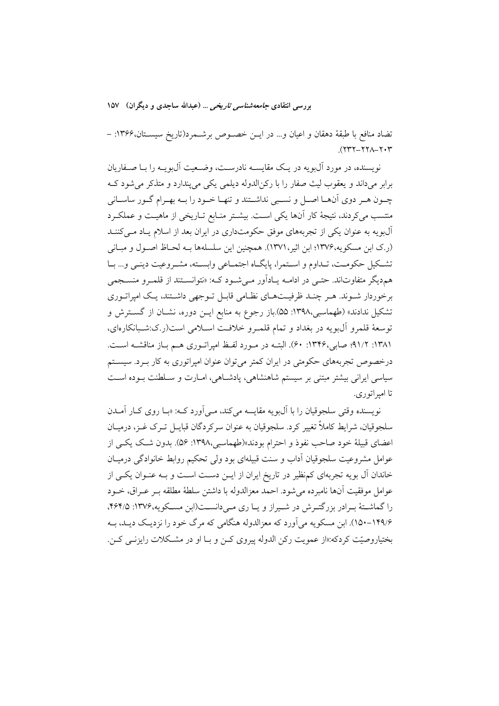بررسی انتقادی *جامعهشناسی تاریخی ...* (عبدالله ساجدی و دیگران) ۱۵۷

تضاد منافع با طبقهٔ دهقان و اعیان و... در ایـن خصـوص برشـمرد(تاریخ سیسـتان،۱۳۶۶: –  $(117 - 177) - 777$ 

نویسنده، در مورد آل0ویه در یک مقایسته نادرست، وضیعیت آل0ویـه را بیا صنفاریان برابر میداند و یعقوب لیث صفار را با رکنالدوله دیلمی یکی می پندارد و متذکر می شود ک چــون هــر دوى أنهــا اصــل و نســبي نداشــتند و تنهــا خــود را بــه بهــرام گــور ساســاني منتسب می کردند، نتیجهٔ کار آنها یکی است. بیشتر منـابع تـاریخی از ماهیـت و عملکـرد آلبویه به عنوان یکی از تجربههای موفق حکومتداری در ایران بعد از اسلام یـاد مـی کننــد (ر.ک ابن مسکویه،۱۳۷۶؛ ابن اثیر،۱۳۷۱). همچنین این سلسلهها بـه لحـاظ اصـول و مبـانی تشكيل حكومت، تـداوم و اسـتمرا، پايگـاه اجتمـاعي وابسـته، مشـروعيت دينـي و... بـا هم دیگر متفاوتاند. حتبی در ادامــه پــادآور مــی شــو د کــه: «نتوانســتند از قلمــرو منســجمی برخوردار شوند. هـر چنـد ظرفيـتهـاي نظـامي قابـل تـوجهي داشـتند، يـک امپراتـوري تشکیل ندادند» (طهماسبی،۱۳۹۸: ۵۵).باز رجوع به منابع ایــن دوره، نشــان از گســترش و توسعهٔ قلمرو آلµویه در بغداد و تمام قلمـرو خلافـت اسـلامی است(ر.ک:شـبانکارهای، ۱۳۸۱: ۹۱/۲؛ صابی،۱۳۴۶: ۶۰). البتــه در مــورد لفــظ امیراتــوری هــم بــاز مناقشــه اســت. درخصوص تجربههای حکومتی در ایران کمتر می توان عنوان امیراتوری به کار بـرد. سیسـتم سیاسی ایرانی بیشتر مبتنی بر سیستم شاهنشاهی، یادشـاهی، امـارت و سـلطنت بـوده اسـت تا اميراتوري.

نويسنده وقتي سلجوقيان را با آلµويه مقايسه مي كند، مـي آورد كــه: «بــا روى كــار آمــدن سلجوقيان، شرايط كاملاً تغيير كرد. سلجوقيان به عنوان سركردگان قبايــل تــرك غــز، درميــان اعضای قبیلهٔ خود صاحب نفوذ و احترام بودند»(طهماسبی،۱۳۹۸: ۵۶). بدون شک یکی از عوامل مشروعیت سلجوقیان آداب و سنت قبیلهای بود ولی تحکیم روابط خانوادگی درمیـان خاندان آل بویه تجربهای کمنظیر در تاریخ ایران از ایــن دســت اســت و بــه عنــوان یکــی از عوامل موفقيت آنها نامبرده مي شود. احمد معزالدوله با داشتن سلطهٔ مطلقه بـر عـراق، خــود را گماشتهٔ بـرادر بزرگتـرش در شـیراز و یـا ری مـی(انسـت(ابن مسـکویه،۱۳۷۶: ۴۶۴/۵). ۱۴۹/۶–۱۵۰). ابن مسکویه می آورد که معزالدوله هنگامی که مرگ خود را نزدیک دیـد، بـه بختياروصيّت کردکه:«از عمويت رکن الدوله پيروي کــن و بــا او در مشــکلات رايزنــي کــن.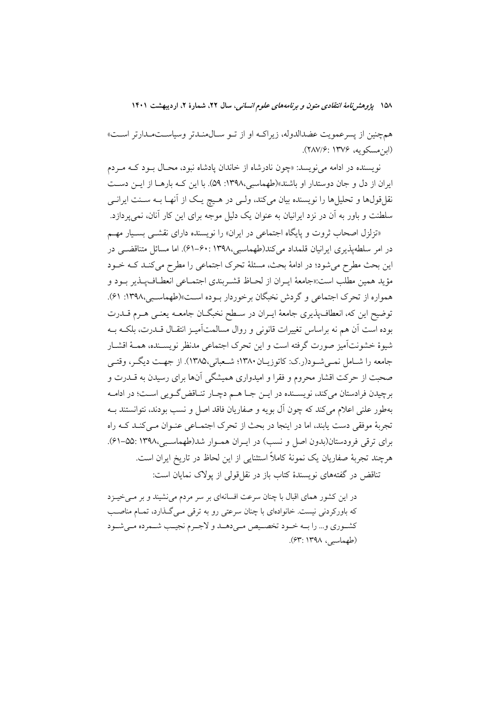۱۵۸ پژوهشرنامهٔ انتقادی متون و برنامههای علوم انسانی، سال ۲۲، شمارهٔ ۲، اردیبهشت ۱۴۰۱

همچنین از پسرعمویت عضدالدوله، زیراکـه او از تــو ســالαمنـدتر وسیاســتمـدارتر اســت» (ابن مسكويه، ۱۳۷۶: ۲۸۷/۶).

نويسنده در ادامه مي نويسد: «چون نادرشاه از خاندان يادشاه نبود، محـال بـود كــه مـردم ایران از دل و جان دوستدار او باشند»(طهماسبی،۱۳۹۸: ۵۹). با این کـه بارهـا از ایـن دسـت نقلقولها و تحلیلها را نویسنده بیان میکند، ولـی در هـیچ یـک از آنهـا بـه سـنت ایرانـی سلطنت و باور به آن در نزد ایرانیان به عنوان یک دلیل موجه برای این کار آنان، نمی پردازد.

«تزلزل اصحاب ثروت و پایگاه اجتماعی در ایران» را نویسنده دارای نقشــی بسـیار مهــم در امر سلطهیذیری ایرانیان قلمداد می کند(طهماسبی،۱۳۹۸ :۶۰–۶۱). اما مسائل متناقضبی در این بحث مطرح میشود؛ در ادامهٔ بحث، مسئلهٔ تحرک اجتماعی را مطرح میکند کـه خـود مؤيد همين مطلب است:«جامعهٔ ابران از لحياظ قشيربندي اجتمـاعي انعطـاف بيذير بـود و همواره از تحرک اجتماعی و گردش نخبگان برخوردار بوده است»(طهماسبی،۱۳۹۸: ۶۱). توضيح اين كه، انعطاف پذيري جامعهٔ ايـران در سـطح نخبگـان جامعــه يعنــي هــرم قــدرت بوده است آن هم نه براساس تغییرات قانونی و روال مسالمتآمیـز انتقـال قــدرت، بلکــه بــه شبوهٔ خشونتآمیز صورت گرفته است و این تحرک اجتماعی مدنظر نویسینده، همیهٔ اقشیار جامعه را شـامل نمـي شـود(ر.ک: کاتوزيـان ١٣٨٠؛ شـعباني،١٣٨٥). از جهـت ديگـر، وقتـي صحبت از حرکت اقشار محروم و فقرا و امیدواری همیشگی آنها برای رسیدن به قــدرت و برچیدن فرادستان میکند، نویسـنده در ایــن جــا هــم دچــار تنــاقض گــویی اسـت؛ در ادامــه بهطور علنی اعلام میکند که چون آل بویه و صفاریان فاقد اصل و نسب بودند، نتوانستند بــه تجربهٔ موفقی دست یابند، اما در اینجا در بحث از تحرک اجتمـاعی عنـوان مـیکنـد کـه راه برای ترقی فرودستان(بدون اصل و نسب) در ایـران همـوار شد(طهماسـبی،١٣٩٨:٥۵-۶۱). هرچند تجربهٔ صفاریان یک نمونهٔ کاملاً استثنایی از این لحاظ در تاریخ ایران است.

تناقض در گفتههای نویسندهٔ کتاب باز در نقل قولی از پولاک نمایان است:

در این کشور همای اقبال با چنان سرعت افسانهای بر سر مردم می نشیند و بر مـیخیــزد که باورکردنی نیست. خانوادهای با چنان سرعتی رو به ترقی مے گذارد، تمـام مناصـب كشـوري و... را بــه خــود تخصــيص مــي،دهــد و لاجـرم نجيــب شــمرده مــي شــود (طهماسبی، ۱۳۹۸: ۶۳).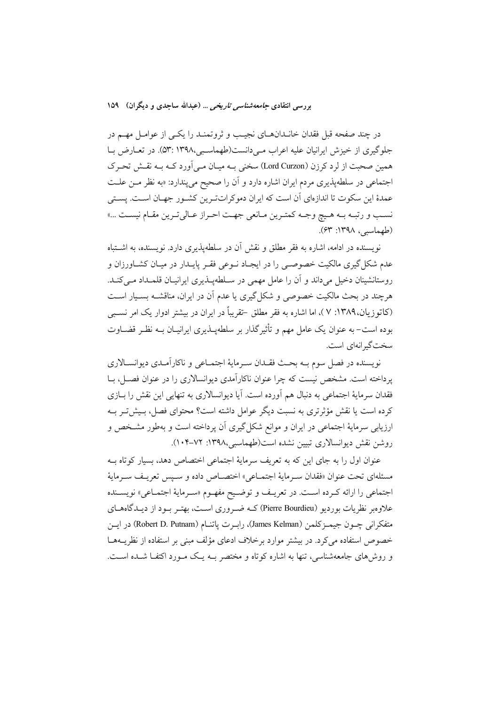در چند صفحه قبل فقدان خانــدانهــای نجیـب و ثروتمنــد را یکــی از عوامــل مهــم در جلوگیری از خیزش ایرانیان علیه اعراب مے دانست(طهماسبی،۱۳۹۸ :۵۳). در تعـارض بـا همین صحبت از لرد کرزن (Lord Curzon) سخنی بـه میـان مـی]ورد کـه بـه نقـش تحـرک اجتماعی در سلطهپذیری مردم ایران اشاره دارد و آن را صحیح میپندارد: «به نظر مـن علـت عمدهٔ این سکوت تا اندازهای آن است که ایران دموکراتترین کشـور جهـان اسـت. پسـتی نسب و رتبـه بـه هـيچ وجـه كمتـرين مـانعي جهـت احـراز عـاليتـرين مقـام نيسـت ...» (طهماسبي، ١٣٩٨: ۶٣).

نویسنده در ادامه، اشاره به فقر مطلق و نقش آن در سلطهیذیری دارد. نویسنده، به اشتباه عدم شکل گیری مالکیت خصوصـی را در ایجـاد نــوعی فقــر پایــدار در میــان کشــاورزان و روستانشینان دخیل میداند و آن را عامل مهمی در سـلطهپــذیری ایرانیــان قلمــداد مــیکنــد. هرچند در بحث مالکیت خصوصی و شکل گیری یا عدم آن در ایران، مناقشـه بسـیار اسـت (کاتوزیان،۱۳۸۹: ۷ )، اما اشاره به فقر مطلق –تقریباً در ایران در بیشتر ادوار یک امر نسببی بوده است– به عنوان یک عامل مهم و تأثیر گذار بر سلطهپــذیری ایرانیــان بــه نظـر قضــاوت سخت گیرانهای است.

نويسنده در فصل سوم بــه بحــث فقــدان ســرمايهٔ اجتمــاعي و ناكارآمــدي ديوانســالاري یرداخته است. مشخص نیست که چرا عنوان ناکارآمدی دیوانسالاری را در عنوان فصـل، بـا فقدان سرمايهٔ اجتماعي به دنبال هم آورده است. آيا ديوانسالاري به تنهايي اين نقش را بــازي کرده است یا نقش مؤثرتری به نسبت دیگر عوامل داشته است؟ محتوای فصل، بـیش تـر بــه ارزیابی سرمایهٔ اجتماعی در ایران و موانع شکل گیری آن پرداخته است و بهطور مشخص و روشن نقش دیوانسالاری تبیین نشده است(طهماسبی،۱۳۹۸: ۰۷۲–۱۰۴).

عنوان اول را به جای این که به تعریف سرمایهٔ اجتماعی اختصاص دهد، بسیار کوتاه بـه مسئلهای تحت عنوان «فقدان سـرمایهٔ اجتمــاعی» اختصــاص داده و سـپس تعریــف ســرمایهٔ اجتماعي را ارائه كرده است. در تعريـف و توضـيح مفهـوم «سـرماية اجتمـاعي» نويسـنده علاوهبر نظریات بوردیو (Pierre Bourdieu) کـه ضـروری اسـت، بهتـر بـود از دیــدگاههــای متفكراني چـون جيمـزكلمن (James Kelman)، رابـرت ياتنـام (Robert D. Putnam) در ايـن خصوص استفاده می کرد. در بیشتر موارد برخلاف ادعای مؤلف مبنی بر استفاده از نظریــههــا و روش های جامعهشناسی، تنها به اشاره کوتاه و مختصر بـه یـک مـورد اکتفـا شـده اسـت.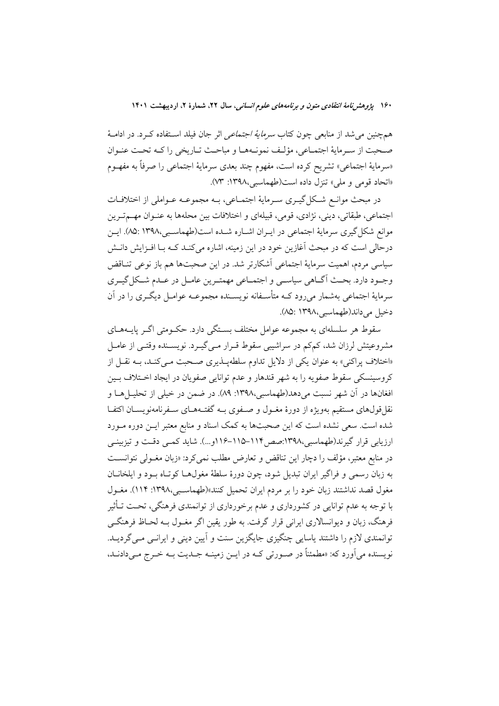۱۶۰ پژوهشرنامهٔ انتقادی متون و برنامههای علوم انسانی، سال ۲۲، شمارهٔ ۲، اردیبهشت ۱۴۰۱

همچنین می شد از منابعی چون کتاب *سرمایهٔ اجتماعی* اثر جان فیلد استفاده کـرد. در ادامـهٔ صحبت از سـرمايهٔ اجتمـاعي، مؤلـف نمونـههـا و مباحـث تـاريخي را كـه تحـت عنـوان «سرمايهٔ اجتماعي» تشريح كرده است، مفهوم چند بعدي سرمايهٔ اجتماعي را صرفاً به مفهــوم «اتحاد قومي و ملي» تنزل داده است(طهماسبي،١٣٩٨: ٧٣).

در مبحث موانع شکل گیــری ســرمایهٔ اجتمــاعی، بــه مجموعــه عــواملی از اختلافــات اجتماعي، طبقاتي، ديني، نژادي، قومي، قبيلهاي و اختلافات بين محلهها به عنــوان مهــمتـرين موانع شکل گیری سرمایهٔ اجتماعی در ایـران اشـاره شـده است(طهماسـبی،۱۳۹۸ :۰۵). ایـن درحالی است که در مبحث آغازین خود در این زمینه، اشاره میکنـد کـه بـا افــزایش دانــش سیاسی مردم، اهمیت سرمایهٔ اجتماعی آشکارتر شد. در این صحبتها هم باز نوعی تنـاقض وجـود دارد. بحـث اَگــاهي سياســي و اجتمــاعي مهمتــرين عامــل در عــدم شــكل گيــري سرمايهٔ اجتماعي بهشمار مي٫رود کــه متأســفانه نويســنده مجموعــه عوامــل ديگــري را در آن دخيل مي داند(طهماسيي،١٣٩٨).

سقوط هر سلسلهای به مجموعه عوامل مختلف بستگی دارد. حکـومتی اگـر پایـههـای مشروعیتش لرزان شد، کمکم در سراشیبی سقوط قــرار مــی گیــرد. نویســنده وقتــی از عامــل «اختلاف پراکنی» به عنوان یکی از دلایل تداوم سلطهپذیری صحبت مـی کنـد، بـه نقـل از كروسينسكي سقوط صفويه را به شهر قندهار و عدم توانايي صفويان در ايجاد اخـتلاف بـين افغانها در اَن شهر نسبت می۵دهد(طهماسبی،۱۳۹۸: ۸۹). در ضمن در خیلی از تحلیــلهــا و نقل قولهای مستقیم بهویژه از دورهٔ مغــول و صــفوی بــه گفتــههــای ســفرنامهنویســان اکتفــا شده است. سعی نشده است که این صحبتها به کمک اسناد و منابع معتبر ایــن دوره مــورد ارزیابی قرار گیرند(طهماسبی،۱۳۹۸:صص۱۱۴–۱۱۵-۱۱۶و…). شاید کمپی دقت و تیزبینبی در منابع معتبر، مؤلف را دچار این تناقض و تعارض مطلب نمی کرد: «زبان مغـولی نتوانسـت به زبان رسمی و فراگیر ایران تبدیل شود، چون دورهٔ سلطهٔ مغولهـا کوتـاه بـود و ایلخانــان مغول قصد نداشتند زبان خود را بر مردم ايران تحميل كنند»(طهماسبي،١٣٩٨: ١١٤). مغــول با توجه به عدم توانایی در کشورداری و عدم برخورداری از توانمندی فرهنگی، تحت تـأثیر فرهنگ، زبان و دیوانسالاری ایرانی قرار گرفت. به طور یقین اگر مغــول بــه لحــاظ فرهنگــی توانمندي لازم را داشتند ياسايي چنگيزي جايگزين سنت و آيين ديني و ايرانـي مـي گرديــد. نويسنده مي آورد كه: «مطمئناً در صـورتي كــه در ايــن زمينــه جــديت بــه خــرج مــي دادنــد،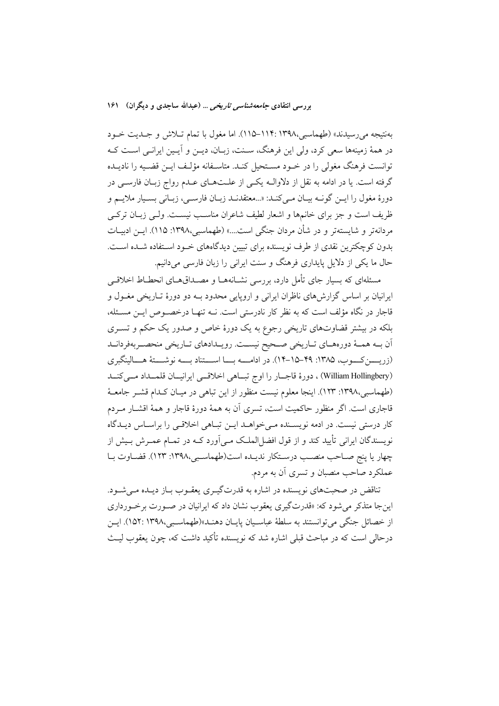بهنتيجه مي رسيدند» (طهماسبي،١٣٩٨-١١٤-١١٥). اما مغول با تمام تـلاش و جـديت خـود در همهٔ زمینهها سعی کرد، ولی این فرهنگ، سـنت، زبـان، دیــن و آیــین ایرانــی اسـت کــه توانست فرهنگ مغولی را در خـود مسـتحیل کنـد. متاسـفانه مؤلـف ایــن قضـیه را نادیــده گرفته است. یا در ادامه به نقل از دلاوالــه یکــی از علــتـهــای عــدم رواج زبــان فارســی در دورهٔ مغول را ایــن گونــه بیــان مــىکنــد: «...معتقدنــد زبــان فارســى، زبــانى بســيار ملايــم و ظریف است و جز برای خانمها و اشعار لطیف شاعران مناسب نیست. ولـی زبـان ترکـی مردانهتر و شايستهتر و در شأن مردان جنگي است....» (طهماسبي،١٣٩٨: ١١۵). ايـن ادبيـات بدون کوچکترین نقدی از طرف نویسنده برای تبیین دیدگاههای خــود اسـتفاده شــده اســت. حال ما یکی از دلایل پایداری فرهنگ و سنت ایرانی را زبان فارسی میدانیم.

مسئلهای که بسار جای تأمل دارد، بررسی نشیانههیا و مصیداق هیای انحطیاط اخلاقبی ایرانیان بر اساس گزارشهای ناظران ایرانی و اروپایی محدود بــه دو دورهٔ تــاریخی مغــول و قاجار در نگاه مؤلف است که به نظر کار نادرستی است. نــه تنهــا درخصــوص ايــن مســئله، بلکه در بیشتر قضاوتهای تاریخی رجوع به یک دورهٔ خاص و صدور یک حکم و تسـری ان بـه همـهٔ دورههـاي تـاريخي صـحيح نيسـت. رويـدادهاي تـاريخي منحصـربهفردانـد (زریسین کسوب، ۱۳۸۵: ۴۹–۱۵–۱۴). در ادامــــه بـــا اســـتناد بــــه نوشـــتهٔ هـــالینگبری (William Hollingbery) ، دورهٔ قاجــار را اوج تبــاهي اخلاقــي ايرانيــان قلمــداد مــيكنــد (طهماسبی،۱۳۹۸: ۱۲۳). اینجا معلوم نیست منظور از این تباهی در میـان کـدام قشـر جامعـهٔ قاجاری است. اگر منظور حاکمیت است، تسری آن به همهٔ دورهٔ قاجار و همهٔ اقشـار مـردم کار درستی نیست. در ادمه نویسـنده مـی خواهـد ایـن تبـاهی اخلاقـی را براسـاس دیـدگاه نویسندگان ایرانی تأیید کند و از قول افضل|لملک مےآورد کـه در تمـام عمـرش بـیش از چهار یا پنج صـاحب منصـب درسـتکار ندیـده است(طهماسـبی،١٣٩٨: ١٢٣). قضـاوت بـا عملکرد صاحب منصبان و تسری آن به مردم.

تناقض در صحبتهای نویسنده در اشاره به قدرتگیـری یعقـوب بـاز دیـده مـی شـود. این جا متذکر می شود که: «قدرتگیری یعقوب نشان داد که ایرانیان در صـورت برخـورداری از خصائل جنگي مي توانستند به سلطهٔ عباسـيان پايــان دهنــد»(طهماسـبي،١٣٩٨). ايــن درحالي است كه در مباحث قبلي اشاره شد كه نويسنده تأكيد داشت كه، چون يعقوب ليـث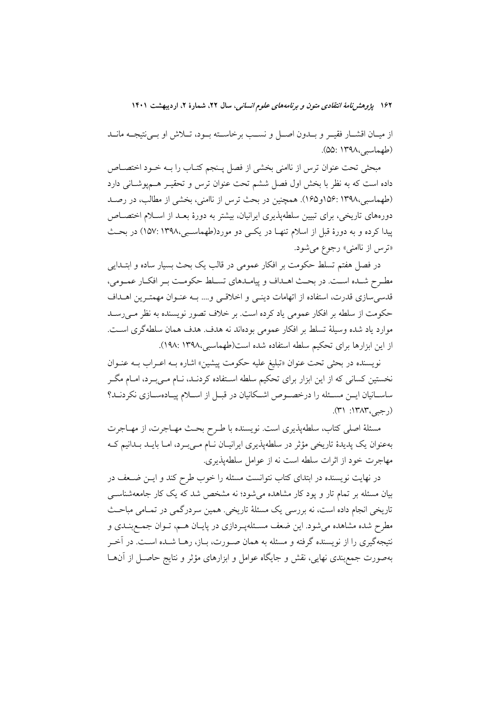۱۶۲ پژوهشرن*امهٔ انتقادی متون و برنامههای علوم انسانی،* سال ۲۲، شمارهٔ ۲، اردیبهشت ۱۴۰۱

از میـان اقشـار فقیـر و بــدون اصــل و نســب برخاســته بــود، تــلاش او بــی'نتیجــه مانــد (طهماسبی،۱۳۹۸).

مبحثي تحت عنوان ترس از ناامني بخشي از فصل پـنجم كتـاب را بــه خــود اختصــاص داده است که به نظر با بخش اول فصل ششم تحت عنوان ترس و تحقیـر هــمپوشــانی دارد (طهماسبی،۱۳۹۸ :۱۵۶و۱۶۵). همچنین در بحث ترس از ناامنی، بخشی از مطالب، در رصـد دورههای تاریخی، برای تبیین سلطهپذیری ایرانیان، بیشتر به دورهٔ بعـد از اسـلام اختصــاص پیدا کرده و به دورهٔ قبل از اسلام تنها در یکمی دو مورد(طهماسبی،۱۳۹۸ :۱۵۷) در بحث «ترس از ناامنی» رجوع می شود.

در فصل هفتم تسلط حکومت بر افکار عمومی در قالب یک بحث بسیار ساده و ابتــدایی مطـرح شـده اسـت. در بحـث اهـداف و پيامـدهاي تسـلط حكومـت بـر افكـار عمـومي، قدسی سازی قدرت، استفاده از اتهامات دینبی و اخلاقبی و.... بـه عنـوان مهمتـرین اهـداف حکومت از سلطه بر افکار عمومی یاد کرده است. بر خلاف تصور نویسنده به نظر مــ ٍرســد موارد ياد شده وسيلة تسلط بر افكار عمومي بودهاند نه هدف. هدف همان سلطه گرى است. از این ابزارها برای تحکیم سلطه استفاده شده است(طهماسبی،۱۳۹۸: ۱۹۸:

نویسنده در بحثی تحت عنوان «تبلیغ علیه حکومت پیشین» اشاره بـه اعـراب بـه عنـوان نخستین کسانی که از این ابزار برای تحکیم سلطه اسـتفاده کردنـد، نــام مــیبــرد، امــام مگــر ساسـانیان ایـن مسـئله را درخصـوص اشـكانیان در قبـل از اسـلام پیـادهسـازی نكردنـد؟  $(1^{\circ})$  : ۱۳۸۳ (رجبے)

مسئلة اصلي كتاب، سلطهپذيري است. نويسنده با طـرح بحـث مهـاجرت، از مهـاجرت بەعنوان یک پدیدهٔ تاریخی مؤثر در سلطەپذیری ایرانیـان نــام مــیبــرد، امــا بایــد بــدانیم کــه مهاجرت خود از اثرات سلطه است نه از عوامل سلطهيذيري.

در نهایت نویسنده در ابتدای کتاب نتوانست مسئله را خوب طرح کند و ایــن ضــعف در بیان مسئله بر تمام تار و پود کار مشاهده میشود؛ نه مشخص شد که یک کار جامعهشناســی تاریخی انجام داده است، نه بررسی یک مسئلهٔ تاریخی. همین سردرگمی در تمـامی مباحـث مطرح شده مشاهده میشود. این ضعف مسئلهپردازی در پایـان هـم، تـوان جمـعبنـدی و نتیجهگیری را از نویسنده گرفته و مسئله به همان صـورت، بــاز، رهــا شــده اســت. در آخــر بهصورت جمع بندی نهایی، نقش و جایگاه عوامل و ابزارهای مؤثر و نتایج حاصـل از آن۱مـا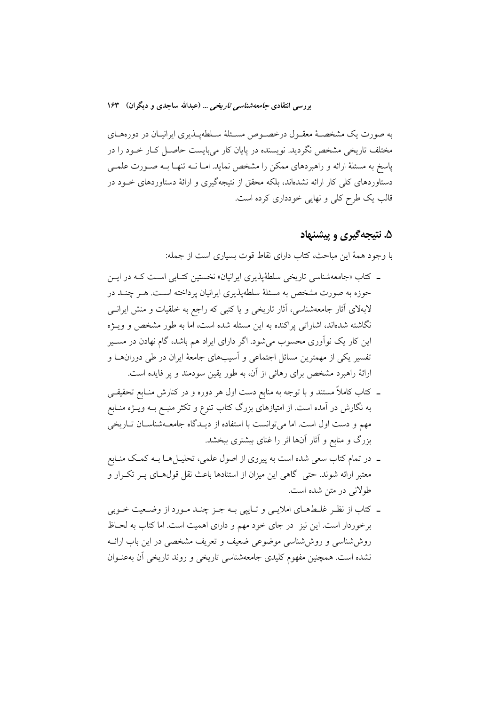به صورت یک مشخصـهٔ معقـول درخصـوص مسـئلهٔ سـلطهپـذیری ایرانیـان در دورههـای مختلف تاریخی مشخص نگردید. نویسنده در پایان کار میبایست حاصـل کـار خــود را در پاسخ به مسئلهٔ ارائه و راهبردهای ممکن را مشخص نماید. امـا نــه تنهـا بــه صــورت علمــی دستاوردهای کلی کار ارائه نشدهاند، بلکه محقق از نتیجهگیری و ارائهٔ دستاوردهای خـود در قالب یک طرح کلی و نهایی خودداری کرده است.

# ۵. نتیجهگیری و پیشنهاد

با وجود همهٔ این مباحث، کتاب دارای نقاط قوت بسیاری است از جمله:

- ـ کتاب «جامعهشناسی تاریخی سلطهٔپذیری ایرانیان» نخستین کتـابی اسـت کــه در ایــن حوزه به صورت مشخص به مسئلهٔ سلطهیذیری ایرانیان پرداخته است. هـر چنـد در لابهلای أثار جامعهشناسی، آثار تاریخی و یا کتبی که راجع به خلقیات و منش ایرانسی نگاشته شدهاند، اشاراتی پراکنده به این مسئله شده است، اما به طور مشخص و ویــژه این کار یک نوآوری محسوب میشود. اگر دارای ایراد هم باشد، گام نهادن در مســیر تفسیر یکی از مهمترین مسائل اجتماعی و آسیبهای جامعهٔ ایران در طی دورانهـا و ارائهٔ راهبرد مشخص برای رهائی از آن، به طور یقین سودمند و یر فایده است.
- ـ كتاب كاملاً مستند و با توجه به منابع دست اول هر دوره و در كنارش منــابع تحقيقــي به نگارش در آمده است. از امتیازهای بزرگ کتاب تنوع و تکثر منبـع بــه ویــژه منــابع مهم و دست اول است. اما می توانست با استفاده از دیـدگاه جامعـهشناسـان تـاریخی بزرگ و منابع و آثار آنها اثر را غنای بیشتری ببخشد.
- ۔ در تمام کتاب سعی شدہ است به پیروی از اصول علمی، تحلیـــ| هـــا بـــه کمــک منــابع معتبر ارائه شوند. حتی گاهی این میزان از استنادها باعث نقل قولهـای پـر تکـرار و طولاني در متن شده است.
- ۔ کتاب از نظـر غلــطـهــای املایــی و تــاییی بــه جــز چنــد مــورد از وضــعیت خــوبی برخوردار است. این نیز در جای خود مهم و دارای اهمیت است. اما کتاب به لحـاظ روششناسی و روششناسی موضوعی ضعیف و تعریف مشخصی در این باب ارائـه نشده است. همچنین مفهوم کلیدی جامعهشناسی تاریخی و روند تاریخی اَن بهعنــوان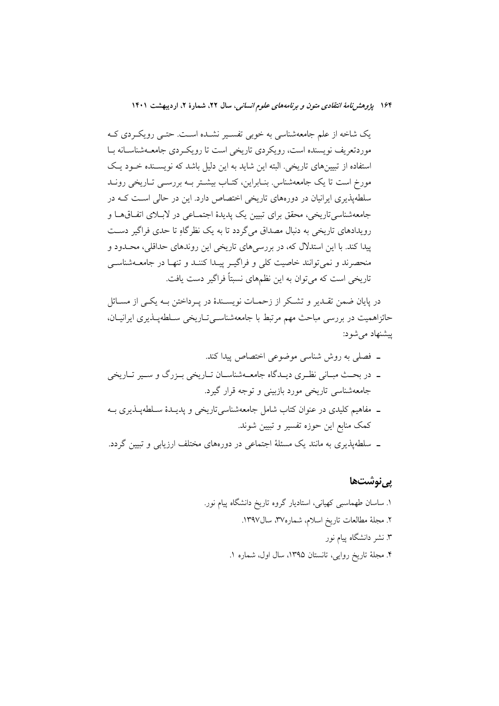یک شاخه از علم جامعهشناسی به خوبی تفسیر نشـده اسـت. حتـبی رویکـردی کـه موردتعریف نویسنده است، رویکردی تاریخی است تا رویک ردی جامعـهشناسـانه بـا استفاده از تبیینهای تاریخی. البته این شاید به این دلیل باشد که نویســنده خــود یــک مورخ است تا یک جامعهشناس بنابراین، کتـاب بیشـتر بـه بررسـی تـاریخی رونـد سلطه پذیری ایرانیان در دورههای تاریخی اختصاص دارد. این در حالی است کـه در جامعهشناسیتاریخی، محقق برای تبیین یک پدیدهٔ اجتمـاعی در لابـلای اتفـاقهـا و رویدادهای تاریخی به دنبال مصداق میگردد تا به یک نظرگاهِ تا حدی فراگیر دست پیدا کند. با این استدلال که، در بررسیهای تاریخی این روندهای حداقلی، محـدود و منحصرند و نمی توانند خاصیت کلی و فراگیـر پیـدا کننـد و تنهـا در جامعــهشناســی .<br>تاریخی است که می توان به این نظمهای نسبتاً فراگیر دست یافت.

در پایان ضمن تقـدیر و تشـکر از زحمـات نویسـندهٔ در پـرداختن بـه یکـی از مسـائل حائزاهمیت در بررسی مباحث مهم مرتبط با جامعهشناسی تـاریخی سـلطهیـذیری ایرانیـان، ييشنهاد مي شود:

- ــ مفاهیم کلیدی در عنوان کتاب شامل جامعهشناسیتاریخی و پدیــدهٔ ســلطهپــذیری بــه كمك منابع اين حوزه تفسير و تبيين شوند.
- ــ سلطهیذیری به مانند یک مسئلهٔ اجتماعی در دورههای مختلف ارزیابی و تبیین گردد.

یےنوشتھا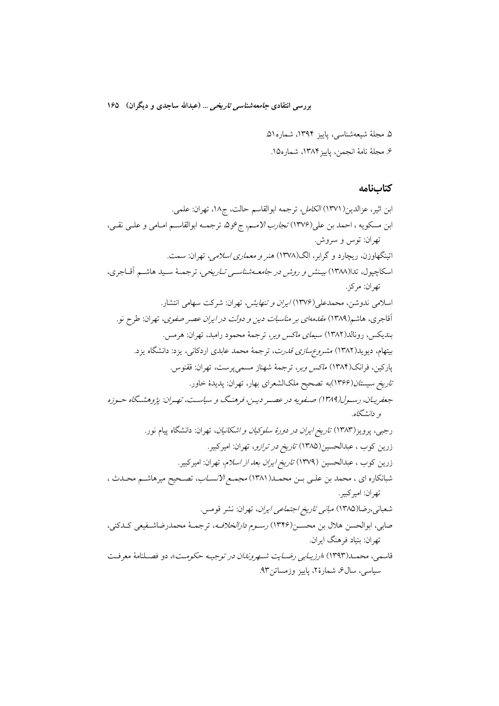بررسی انتقادی *جامعه شناسی تاریخی* … (عبدالله ساجدی و دیگران) ۱۶۵

۵. مجلهٔ شیعهشناسی، پاییز ۱۳۹۴، شماره۵۱.

۶. مجلة نامة انجمن، پاييز۱۳۸۴، شماره۱۵.

كتابنامه